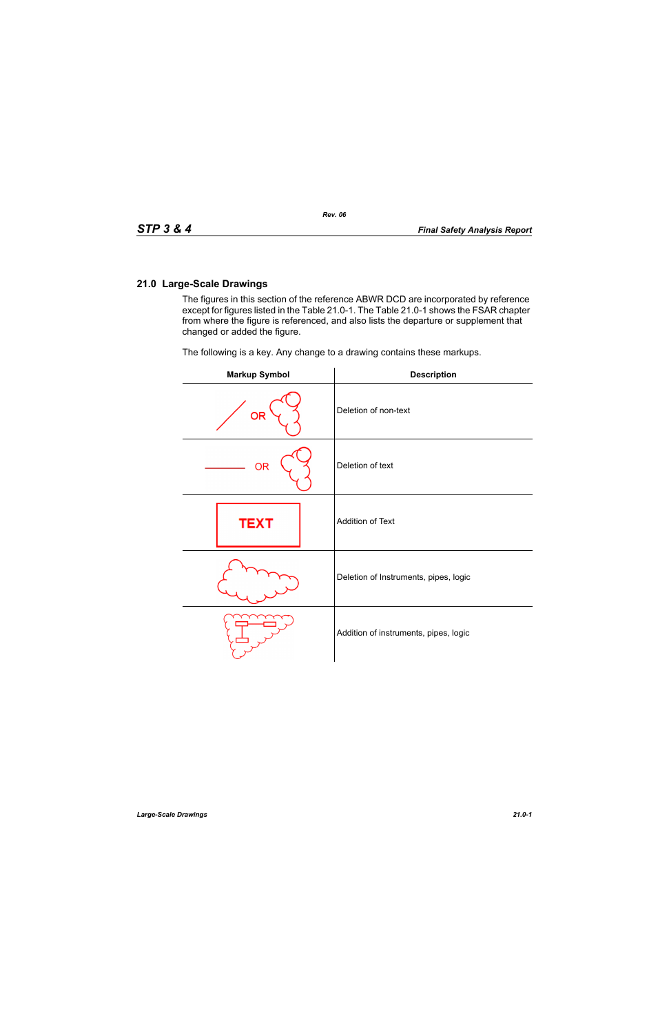The figures in this section of the reference ABWR DCD are incorporated by reference except for figures listed in the Table 21.0-1. The Table 21.0-1 shows the FSAR chapter from where the figure is referenced, and also lists the departure or supplement that changed or added the figure.

The following is a key. Any change to a drawing contains these markups.

| <b>Markup Symbol</b> | <b>Description</b>                    |
|----------------------|---------------------------------------|
| <b>OR</b>            | Deletion of non-text                  |
| <b>OR</b>            | Deletion of text                      |
| <b>TEXT</b>          | Addition of Text                      |
|                      | Deletion of Instruments, pipes, logic |
|                      | Addition of instruments, pipes, logic |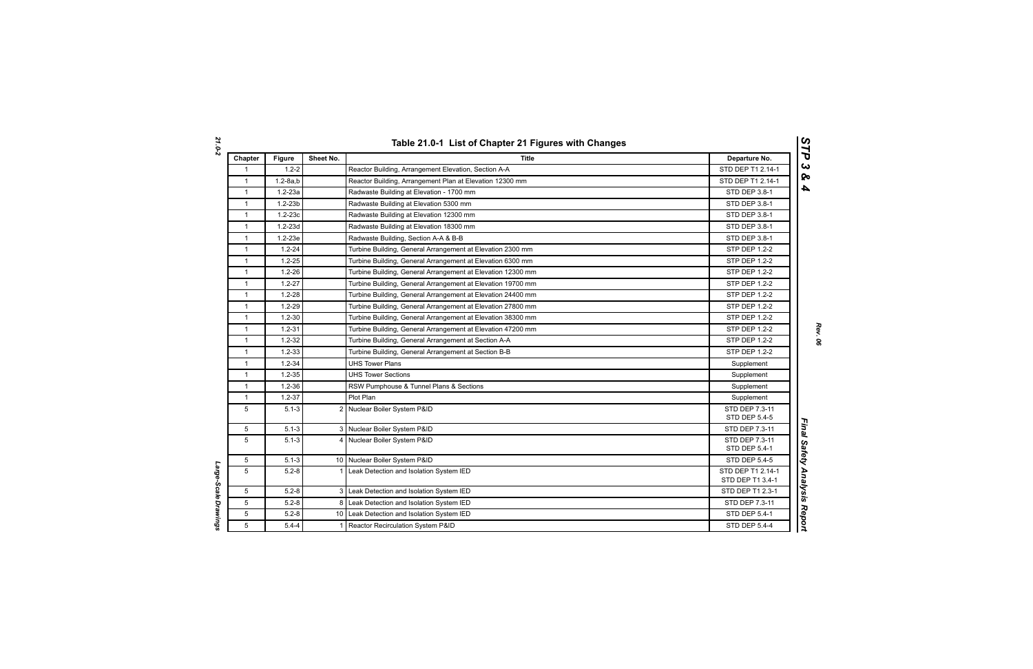| Chapter      | <b>Figure</b>  | Sheet No.      | <b>Title</b>                                                | Departure No.                          |
|--------------|----------------|----------------|-------------------------------------------------------------|----------------------------------------|
| $\mathbf{1}$ | $1.2 - 2$      |                | Reactor Building, Arrangement Elevation, Section A-A        | STD DEP T1 2.14-1                      |
| $\mathbf{1}$ | $1.2 - 8a$ , b |                | Reactor Building, Arrangement Plan at Elevation 12300 mm    | STD DEP T1 2.14-1                      |
| $\mathbf{1}$ | $1.2 - 23a$    |                | Radwaste Building at Elevation - 1700 mm                    | STD DEP 3.8-1                          |
| $\mathbf{1}$ | $1.2 - 23b$    |                | Radwaste Building at Elevation 5300 mm                      | STD DEP 3.8-1                          |
| $\mathbf{1}$ | $1.2 - 23c$    |                | Radwaste Building at Elevation 12300 mm                     | STD DEP 3.8-1                          |
| $\mathbf{1}$ | $1.2 - 23d$    |                | Radwaste Building at Elevation 18300 mm                     | STD DEP 3.8-1                          |
| $\mathbf{1}$ | $1.2 - 23e$    |                | Radwaste Building, Section A-A & B-B                        | STD DEP 3.8-1                          |
| $\mathbf{1}$ | $1.2 - 24$     |                | Turbine Building, General Arrangement at Elevation 2300 mm  | STP DEP 1.2-2                          |
| $\mathbf{1}$ | $1.2 - 25$     |                | Turbine Building, General Arrangement at Elevation 6300 mm  | <b>STP DEP 1.2-2</b>                   |
| $\mathbf{1}$ | $1.2 - 26$     |                | Turbine Building, General Arrangement at Elevation 12300 mm | <b>STP DEP 1.2-2</b>                   |
| $\mathbf{1}$ | $1.2 - 27$     |                | Turbine Building, General Arrangement at Elevation 19700 mm | <b>STP DEP 1.2-2</b>                   |
| $\mathbf{1}$ | $1.2 - 28$     |                | Turbine Building, General Arrangement at Elevation 24400 mm | <b>STP DEP 1.2-2</b>                   |
| $\mathbf{1}$ | $1.2 - 29$     |                | Turbine Building, General Arrangement at Elevation 27800 mm | <b>STP DEP 1.2-2</b>                   |
| $\mathbf{1}$ | $1.2 - 30$     |                | Turbine Building, General Arrangement at Elevation 38300 mm | STP DEP 1.2-2                          |
| $\mathbf{1}$ | $1.2 - 31$     |                | Turbine Building, General Arrangement at Elevation 47200 mm | STP DEP 1.2-2                          |
| $\mathbf{1}$ | $1.2 - 32$     |                | Turbine Building, General Arrangement at Section A-A        | STP DEP 1.2-2                          |
| $\mathbf{1}$ | $1.2 - 33$     |                | Turbine Building, General Arrangement at Section B-B        | <b>STP DEP 1.2-2</b>                   |
| $\mathbf{1}$ | $1.2 - 34$     |                | <b>UHS Tower Plans</b>                                      | Supplement                             |
| $\mathbf{1}$ | $1.2 - 35$     |                | <b>UHS Tower Sections</b>                                   | Supplement                             |
| $\mathbf{1}$ | $1.2 - 36$     |                | RSW Pumphouse & Tunnel Plans & Sections                     | Supplement                             |
| $\mathbf{1}$ | $1.2 - 37$     |                | Plot Plan                                                   | Supplement                             |
| 5            | $5.1 - 3$      |                | 2 Nuclear Boiler System P&ID                                | STD DEP 7.3-11<br><b>STD DEP 5.4-5</b> |
| 5            | $5.1 - 3$      |                | 3 Nuclear Boiler System P&ID                                | STD DEP 7.3-11                         |
| 5            | $5.1 - 3$      |                | 4 Nuclear Boiler System P&ID                                | STD DEP 7.3-11<br>STD DEP 5.4-1        |
| 5            | $5.1 - 3$      |                | 10 Nuclear Boiler System P&ID                               | <b>STD DEP 5.4-5</b>                   |
| 5            | $5.2 - 8$      | $1 \vert$      | Leak Detection and Isolation System IED                     | STD DEP T1 2.14-1<br>STD DEP T1 3.4-1  |
| 5            | $5.2 - 8$      | 3 <sup>1</sup> | Leak Detection and Isolation System IED                     | STD DEP T1 2.3-1                       |
| 5            | $5.2 - 8$      |                | 8 Leak Detection and Isolation System IED                   | STD DEP 7.3-11                         |
| 5            | $5.2 - 8$      |                | 10 Leak Detection and Isolation System IED                  | STD DEP 5.4-1                          |
| 5            | $5.4 - 4$      | $\mathbf 1$    | Reactor Recirculation System P&ID                           | <b>STD DEP 5.4-4</b>                   |

Large-Scale Drawings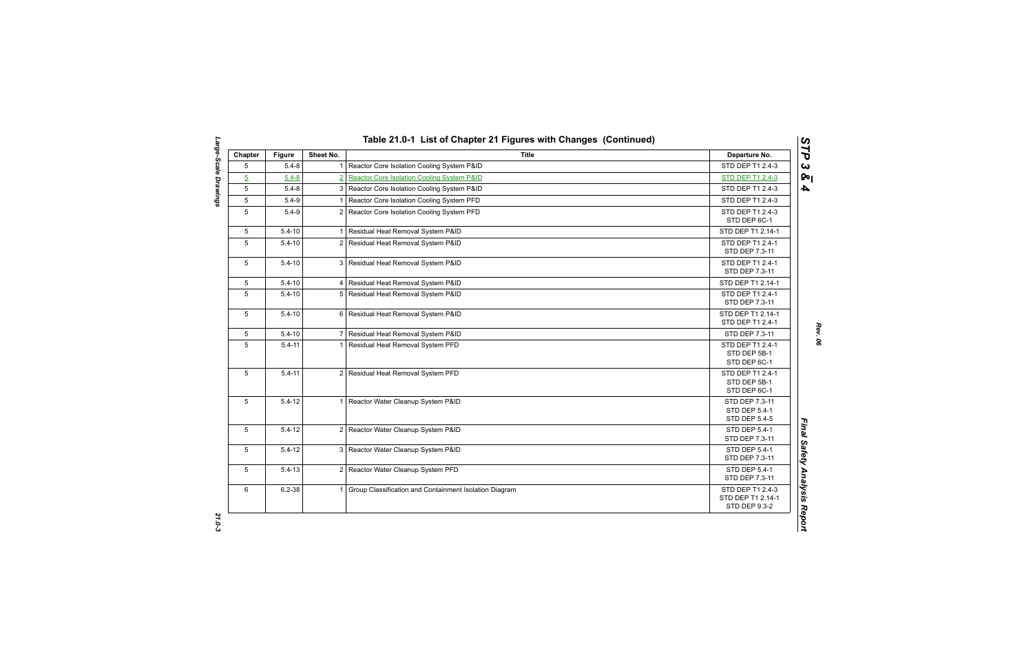| Chapter        | <b>Figure</b> | Sheet No.      | <b>Title</b>                                             | Departure No.                                           |
|----------------|---------------|----------------|----------------------------------------------------------|---------------------------------------------------------|
| 5              | $5.4 - 8$     |                | Reactor Core Isolation Cooling System P&ID               | STD DEP T1 2.4-3                                        |
| $\overline{5}$ | $5.4 - 8$     | $\overline{2}$ | Reactor Core Isolation Cooling System P&ID               | <b>STD DEP T1 2.4-3</b>                                 |
| 5              | $5.4 - 8$     |                | 3 Reactor Core Isolation Cooling System P&ID             | STD DEP T1 2.4-3                                        |
| 5              | $5.4 - 9$     |                | Reactor Core Isolation Cooling System PFD                | STD DEP T1 2.4-3                                        |
| 5              | $5.4 - 9$     |                | 2 Reactor Core Isolation Cooling System PFD              | STD DEP T1 2.4-3<br>STD DEP 6C-1                        |
| 5              | $5.4 - 10$    |                | 1 Residual Heat Removal System P&ID                      | STD DEP T1 2.14-1                                       |
| 5              | $5.4 - 10$    |                | 2 Residual Heat Removal System P&ID                      | STD DEP T1 2.4-1<br>STD DEP 7.3-11                      |
| 5              | $5.4 - 10$    |                | 3 Residual Heat Removal System P&ID                      | STD DEP T1 2.4-1<br>STD DEP 7.3-11                      |
| 5              | $5.4 - 10$    |                | 4 Residual Heat Removal System P&ID                      | STD DEP T1 2.14-1                                       |
| 5              | $5.4 - 10$    |                | 5 Residual Heat Removal System P&ID                      | STD DEP T1 2.4-1<br>STD DEP 7.3-11                      |
| 5              | $5.4 - 10$    |                | 6 Residual Heat Removal System P&ID                      | STD DEP T1 2.14-1<br>STD DEP T1 2.4-1                   |
| 5              | $5.4 - 10$    |                | 7 Residual Heat Removal System P&ID                      | STD DEP 7.3-11                                          |
| 5              | $5.4 - 11$    |                | 1 Residual Heat Removal System PFD                       | STD DEP T1 2.4-1<br>STD DEP 5B-1<br>STD DEP 6C-1        |
| 5              | $5.4 - 11$    |                | 2 Residual Heat Removal System PFD                       | STD DEP T1 2.4-1<br>STD DEP 5B-1<br>STD DEP 6C-1        |
| 5              | $5.4 - 12$    |                | 1 Reactor Water Cleanup System P&ID                      | STD DEP 7.3-11<br>STD DEP 5.4-1<br><b>STD DEP 5.4-5</b> |
| 5              | $5.4 - 12$    |                | 2 Reactor Water Cleanup System P&ID                      | STD DEP 5.4-1<br>STD DEP 7.3-11                         |
| 5              | $5.4 - 12$    |                | 3 Reactor Water Cleanup System P&ID                      | STD DEP 5.4-1<br>STD DEP 7.3-11                         |
| 5              | $5.4 - 13$    |                | 2 Reactor Water Cleanup System PFD                       | <b>STD DEP 5.4-1</b><br>STD DEP 7.3-11                  |
| 6              | $6.2 - 38$    |                | 1 Group Classification and Containment Isolation Diagram | STD DEP T1 2.4-3<br>STD DEP T1 2.14-1<br>STD DEP 9.3-2  |

Large-Scale Drawings *Large-Scale Drawings 21.0-3*

*Rev. 06*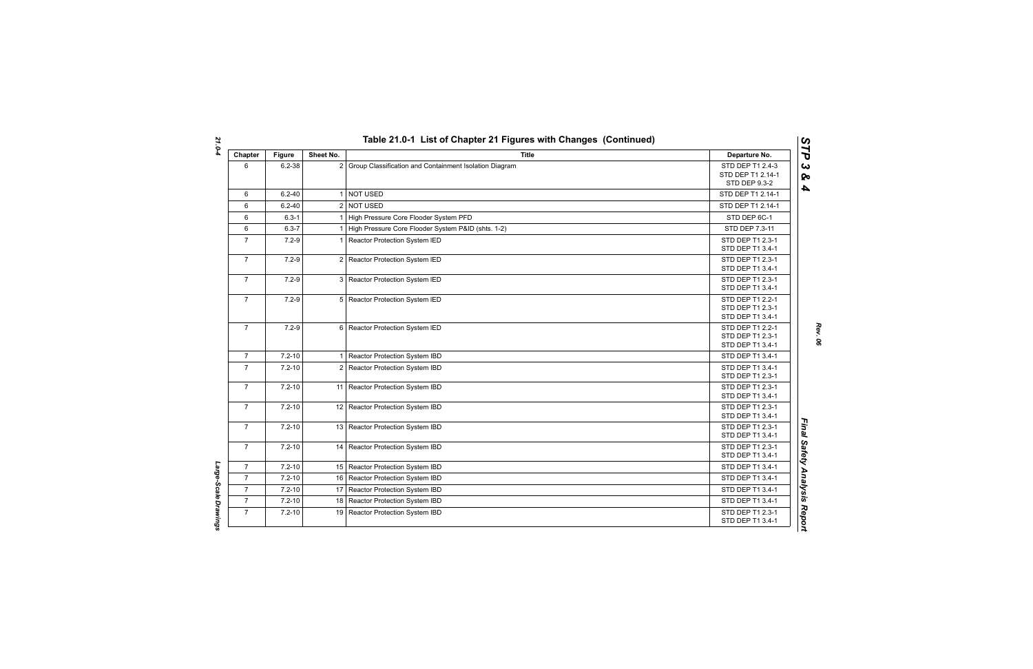| Chapter        | <b>Figure</b> | Sheet No.      | <b>Title</b>                                           | Departure No.                                                 |
|----------------|---------------|----------------|--------------------------------------------------------|---------------------------------------------------------------|
| 6              | $6.2 - 38$    | $\overline{2}$ | Group Classification and Containment Isolation Diagram | STD DEP T1 2.4-3<br>STD DEP T1 2.14-1<br><b>STD DEP 9.3-2</b> |
| 6              | $6.2 - 40$    | $\mathbf 1$    | <b>NOT USED</b>                                        | STD DEP T1 2.14-1                                             |
| 6              | $6.2 - 40$    |                | 2 NOT USED                                             | STD DEP T1 2.14-1                                             |
| 6              | $6.3 - 1$     |                | High Pressure Core Flooder System PFD                  | STD DEP 6C-1                                                  |
| 6              | $6.3 - 7$     |                | High Pressure Core Flooder System P&ID (shts. 1-2)     | STD DEP 7.3-11                                                |
| $\overline{7}$ | $7.2 - 9$     | 1              | Reactor Protection System IED                          | STD DEP T1 2.3-1<br>STD DEP T1 3.4-1                          |
| $\overline{7}$ | $7.2 - 9$     |                | 2 Reactor Protection System IED                        | STD DEP T1 2.3-1<br>STD DEP T1 3.4-1                          |
| $\overline{7}$ | $7.2 - 9$     | 3              | Reactor Protection System IED                          | STD DEP T1 2.3-1<br>STD DEP T1 3.4-1                          |
| $\mathbf{7}$   | $7.2 - 9$     |                | 5 Reactor Protection System IED                        | STD DEP T1 2.2-1<br>STD DEP T1 2.3-1<br>STD DEP T1 3.4-1      |
| $\overline{7}$ | $7.2 - 9$     |                | 6 Reactor Protection System IED                        | STD DEP T1 2.2-1<br>STD DEP T1 2.3-1<br>STD DEP T1 3.4-1      |
| $\overline{7}$ | $7.2 - 10$    | 1 <sup>1</sup> | Reactor Protection System IBD                          | STD DEP T1 3.4-1                                              |
| $\overline{7}$ | $7.2 - 10$    |                | 2 Reactor Protection System IBD                        | STD DEP T1 3.4-1<br>STD DEP T1 2.3-1                          |
| $\overline{7}$ | $7.2 - 10$    |                | 11 Reactor Protection System IBD                       | STD DEP T1 2.3-1<br>STD DEP T1 3.4-1                          |
| $\overline{7}$ | $7.2 - 10$    |                | 12 Reactor Protection System IBD                       | STD DEP T1 2.3-1<br>STD DEP T1 3.4-1                          |
| $\mathbf{7}$   | $7.2 - 10$    |                | 13 Reactor Protection System IBD                       | STD DEP T1 2.3-1<br>STD DEP T1 3.4-1                          |
| $\overline{7}$ | $7.2 - 10$    |                | 14 Reactor Protection System IBD                       | STD DEP T1 2.3-1<br>STD DEP T1 3.4-1                          |
| $\mathbf{7}$   | $7.2 - 10$    |                | 15 Reactor Protection System IBD                       | STD DEP T1 3.4-1                                              |
| $\overline{7}$ | $7.2 - 10$    |                | 16 Reactor Protection System IBD                       | STD DEP T1 3.4-1                                              |
| $\overline{7}$ | $7.2 - 10$    |                | 17 Reactor Protection System IBD                       | STD DEP T1 3.4-1                                              |
| $\overline{7}$ | $7.2 - 10$    |                | 18 Reactor Protection System IBD                       | STD DEP T1 3.4-1                                              |
| $\overline{7}$ | $7.2 - 10$    | 19             | Reactor Protection System IBD                          | STD DEP T1 2.3-1<br>STD DEP T1 3.4-1                          |

*Rev. 06*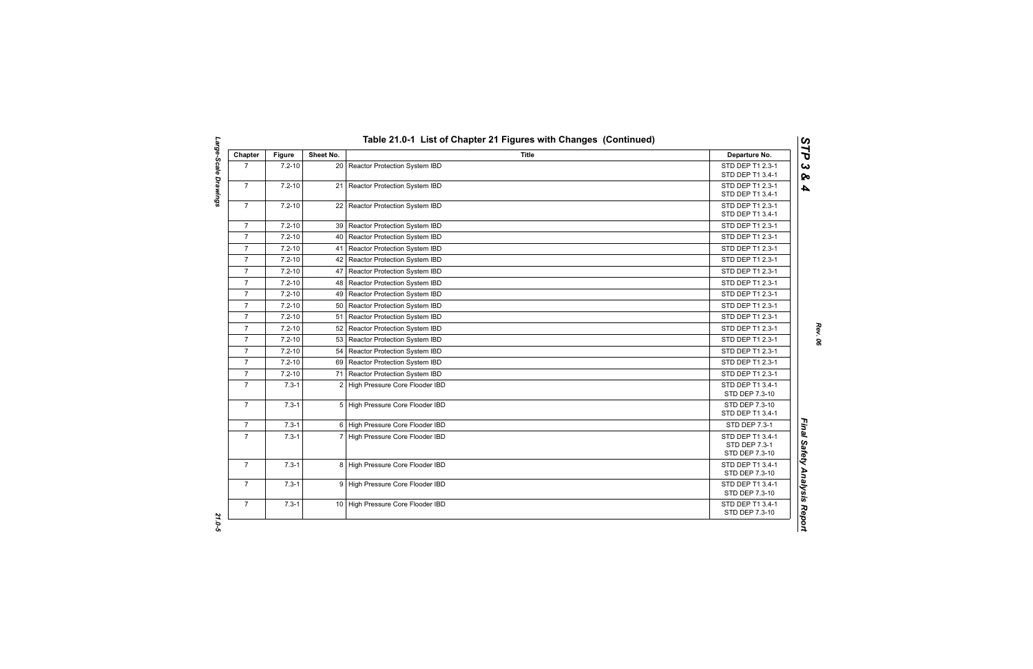| Chapter        | <b>Figure</b> | Sheet No.       | <b>Title</b>                       | Departure No.                                       |
|----------------|---------------|-----------------|------------------------------------|-----------------------------------------------------|
| $\overline{7}$ | $7.2 - 10$    |                 | 20 Reactor Protection System IBD   | STD DEP T1 2.3-1<br>STD DEP T1 3.4-1                |
| $\overline{7}$ | $7.2 - 10$    | 21 <sup>1</sup> | Reactor Protection System IBD      | STD DEP T1 2.3-1<br>STD DEP T1 3.4-1                |
| $\overline{7}$ | $7.2 - 10$    |                 | 22 Reactor Protection System IBD   | STD DEP T1 2.3-1<br>STD DEP T1 3.4-1                |
| $\overline{7}$ | $7.2 - 10$    |                 | 39 Reactor Protection System IBD   | STD DEP T1 2.3-1                                    |
| $\overline{7}$ | $7.2 - 10$    |                 | 40   Reactor Protection System IBD | STD DEP T1 2.3-1                                    |
| $\overline{7}$ | $7.2 - 10$    | 41              | Reactor Protection System IBD      | STD DEP T1 2.3-1                                    |
| $\overline{7}$ | $7.2 - 10$    | 42              | Reactor Protection System IBD      | STD DEP T1 2.3-1                                    |
| $\overline{7}$ | $7.2 - 10$    | 47              | Reactor Protection System IBD      | STD DEP T1 2.3-1                                    |
| $\overline{7}$ | $7.2 - 10$    | 48              | Reactor Protection System IBD      | STD DEP T1 2.3-1                                    |
| $\overline{7}$ | $7.2 - 10$    | 49              | Reactor Protection System IBD      | STD DEP T1 2.3-1                                    |
| $\overline{7}$ | $7.2 - 10$    |                 | 50 Reactor Protection System IBD   | STD DEP T1 2.3-1                                    |
| $\overline{7}$ | $7.2 - 10$    |                 | 51 Reactor Protection System IBD   | STD DEP T1 2.3-1                                    |
| $\overline{7}$ | $7.2 - 10$    |                 | 52 Reactor Protection System IBD   | STD DEP T1 2.3-1                                    |
| $\overline{7}$ | $7.2 - 10$    | 53              | Reactor Protection System IBD      | STD DEP T1 2.3-1                                    |
| $\overline{7}$ | $7.2 - 10$    | 54              | Reactor Protection System IBD      | STD DEP T1 2.3-1                                    |
| $\overline{7}$ | $7.2 - 10$    |                 | 69 Reactor Protection System IBD   | STD DEP T1 2.3-1                                    |
| $\overline{7}$ | $7.2 - 10$    | 71 I            | Reactor Protection System IBD      | STD DEP T1 2.3-1                                    |
| $\overline{7}$ | $7.3 - 1$     |                 | 2 High Pressure Core Flooder IBD   | STD DEP T1 3.4-1<br>STD DEP 7.3-10                  |
| $\overline{7}$ | $7.3 - 1$     |                 | 5 High Pressure Core Flooder IBD   | STD DEP 7.3-10<br>STD DEP T1 3.4-1                  |
| $\overline{7}$ | $7.3 - 1$     |                 | 6 High Pressure Core Flooder IBD   | <b>STD DEP 7.3-1</b>                                |
| $\overline{7}$ | $7.3 - 1$     | 7 <sup>1</sup>  | High Pressure Core Flooder IBD     | STD DEP T1 3.4-1<br>STD DEP 7.3-1<br>STD DEP 7.3-10 |
| $\overline{7}$ | $7.3 - 1$     |                 | 8 High Pressure Core Flooder IBD   | STD DEP T1 3.4-1<br>STD DEP 7.3-10                  |
| $\overline{7}$ | $7.3 - 1$     |                 | 9 High Pressure Core Flooder IBD   | STD DEP T1 3.4-1<br>STD DEP 7.3-10                  |
| $\overline{7}$ | $7.3 - 1$     |                 | 10 High Pressure Core Flooder IBD  | STD DEP T1 3.4-1<br>STD DEP 7.3-10                  |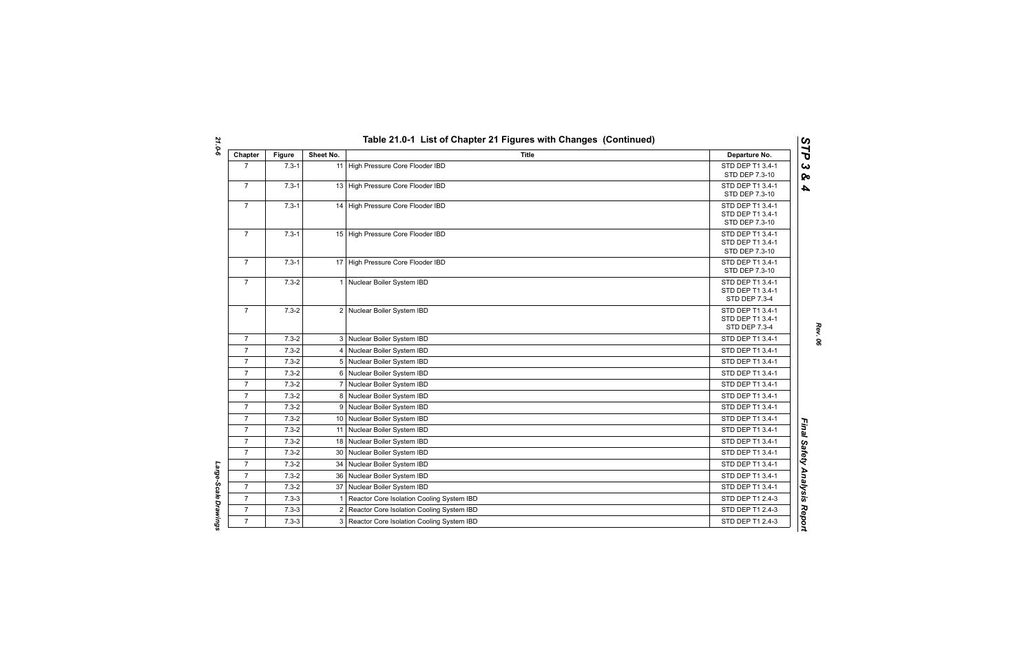| Chapter        | <b>Figure</b> | Sheet No. | <b>Title</b>                                | Departure No.                        |
|----------------|---------------|-----------|---------------------------------------------|--------------------------------------|
| $\overline{7}$ | $7.3 - 1$     |           | 11 High Pressure Core Flooder IBD           | STD DEP T1 3.4-1                     |
|                |               |           |                                             | STD DEP 7.3-10                       |
| $\overline{7}$ | $7.3 - 1$     |           | 13 High Pressure Core Flooder IBD           | STD DEP T1 3.4-1                     |
|                |               |           |                                             | STD DEP 7.3-10                       |
| $\overline{7}$ | $7.3 - 1$     |           | 14 High Pressure Core Flooder IBD           | STD DEP T1 3.4-1<br>STD DEP T1 3.4-1 |
|                |               |           |                                             | STD DEP 7.3-10                       |
| $\overline{7}$ | $7.3 - 1$     |           | 15 High Pressure Core Flooder IBD           | STD DEP T1 3.4-1                     |
|                |               |           |                                             | STD DEP T1 3.4-1                     |
|                |               |           |                                             | STD DEP 7.3-10                       |
| $\overline{7}$ | $7.3 - 1$     |           | 17 High Pressure Core Flooder IBD           | STD DEP T1 3.4-1                     |
| $\overline{7}$ | $7.3 - 2$     |           | 1 Nuclear Boiler System IBD                 | STD DEP 7.3-10<br>STD DEP T1 3.4-1   |
|                |               |           |                                             | STD DEP T1 3.4-1                     |
|                |               |           |                                             | <b>STD DEP 7.3-4</b>                 |
| $\overline{7}$ | $7.3 - 2$     |           | 2 Nuclear Boiler System IBD                 | STD DEP T1 3.4-1                     |
|                |               |           |                                             | STD DEP T1 3.4-1                     |
|                |               |           |                                             | STD DEP 7.3-4                        |
| $\overline{7}$ | $7.3 - 2$     |           | 3 Nuclear Boiler System IBD                 | STD DEP T1 3.4-1                     |
| $\overline{7}$ | $7.3 - 2$     |           | 4 Nuclear Boiler System IBD                 | STD DEP T1 3.4-1                     |
| $\overline{7}$ | $7.3 - 2$     |           | 5 Nuclear Boiler System IBD                 | STD DEP T1 3.4-1                     |
| $\overline{7}$ | $7.3 - 2$     |           | 6 Nuclear Boiler System IBD                 | STD DEP T1 3.4-1                     |
| $\overline{7}$ | $7.3 - 2$     |           | 7 Nuclear Boiler System IBD                 | STD DEP T1 3.4-1                     |
| $\overline{7}$ | $7.3 - 2$     |           | 8 Nuclear Boiler System IBD                 | STD DEP T1 3.4-1                     |
| $\overline{7}$ | $7.3 - 2$     | 9         | Nuclear Boiler System IBD                   | STD DEP T1 3.4-1                     |
| $\overline{7}$ | $7.3 - 2$     |           | 10 Nuclear Boiler System IBD                | STD DEP T1 3.4-1                     |
| $\overline{7}$ | $7.3 - 2$     |           | 11 Nuclear Boiler System IBD                | STD DEP T1 3.4-1                     |
| $\overline{7}$ | $7.3 - 2$     |           | 18 Nuclear Boiler System IBD                | STD DEP T1 3.4-1                     |
| $\overline{7}$ | $7.3 - 2$     | 30        | Nuclear Boiler System IBD                   | STD DEP T1 3.4-1                     |
| $\overline{7}$ | $7.3 - 2$     | 34        | Nuclear Boiler System IBD                   | STD DEP T1 3.4-1                     |
| $\overline{7}$ | $7.3 - 2$     |           | 36 Nuclear Boiler System IBD                | STD DEP T1 3.4-1                     |
| $\overline{7}$ | $7.3 - 2$     |           | 37 Nuclear Boiler System IBD                | STD DEP T1 3.4-1                     |
| $\overline{7}$ | $7.3 - 3$     |           | Reactor Core Isolation Cooling System IBD   | STD DEP T1 2.4-3                     |
| $\overline{7}$ | $7.3 - 3$     |           | 2 Reactor Core Isolation Cooling System IBD | STD DEP T1 2.4-3                     |
| $\overline{7}$ | $7.3 - 3$     |           | 3 Reactor Core Isolation Cooling System IBD | STD DEP T1 2.4-3                     |

*Large-Scale Drawings* 

Large-Scale Drawings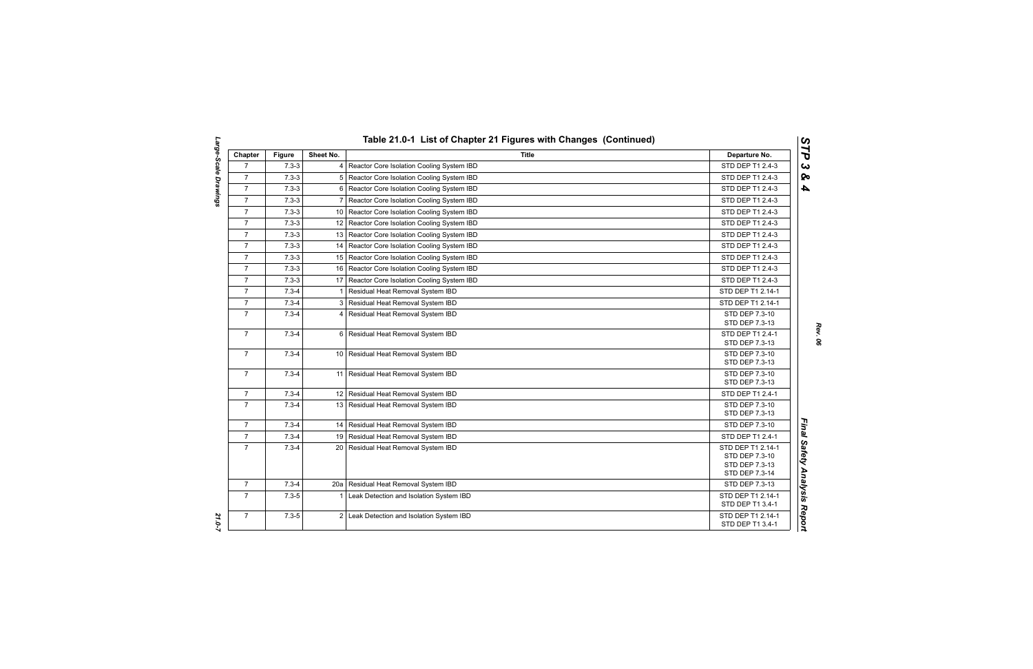| Chapter        | <b>Figure</b> | Sheet No.      | <b>Title</b>                                   | Departure No.                                                           |
|----------------|---------------|----------------|------------------------------------------------|-------------------------------------------------------------------------|
| $\overline{7}$ | $7.3 - 3$     | $\overline{4}$ | Reactor Core Isolation Cooling System IBD      | STD DEP T1 2.4-3                                                        |
| $\overline{7}$ | $7.3 - 3$     |                | 5 Reactor Core Isolation Cooling System IBD    | STD DEP T1 2.4-3                                                        |
| $\overline{7}$ | $7.3 - 3$     | 6              | Reactor Core Isolation Cooling System IBD      | STD DEP T1 2.4-3                                                        |
| $\overline{7}$ | $7.3 - 3$     | 7              | Reactor Core Isolation Cooling System IBD      | STD DEP T1 2.4-3                                                        |
| $\overline{7}$ | $7.3 - 3$     |                | 10 Reactor Core Isolation Cooling System IBD   | STD DEP T1 2.4-3                                                        |
| $\overline{7}$ | $7.3 - 3$     |                | 12 Reactor Core Isolation Cooling System IBD   | STD DEP T1 2.4-3                                                        |
| $\overline{7}$ | $7.3 - 3$     |                | 13 Reactor Core Isolation Cooling System IBD   | STD DEP T1 2.4-3                                                        |
| $\overline{7}$ | $7.3 - 3$     |                | 14   Reactor Core Isolation Cooling System IBD | STD DEP T1 2.4-3                                                        |
| $\overline{7}$ | $7.3 - 3$     |                | 15   Reactor Core Isolation Cooling System IBD | STD DEP T1 2.4-3                                                        |
| $\overline{7}$ | $7.3 - 3$     | 16 I           | Reactor Core Isolation Cooling System IBD      | STD DEP T1 2.4-3                                                        |
| $\overline{7}$ | $7.3 - 3$     |                | 17 Reactor Core Isolation Cooling System IBD   | STD DEP T1 2.4-3                                                        |
| $\overline{7}$ | $7.3 - 4$     | $\mathbf{1}$   | Residual Heat Removal System IBD               | STD DEP T1 2.14-1                                                       |
| $\overline{7}$ | $7.3 - 4$     | 3              | Residual Heat Removal System IBD               | STD DEP T1 2.14-1                                                       |
| $\overline{7}$ | $7.3 - 4$     |                | 4 Residual Heat Removal System IBD             | STD DEP 7.3-10<br>STD DEP 7.3-13                                        |
| $\overline{7}$ | $7.3 - 4$     |                | 6 Residual Heat Removal System IBD             | STD DEP T1 2.4-1<br>STD DEP 7.3-13                                      |
| $\overline{7}$ | $7.3 - 4$     |                | 10 Residual Heat Removal System IBD            | STD DEP 7.3-10<br>STD DEP 7.3-13                                        |
| $\overline{7}$ | $7.3 - 4$     | 11             | Residual Heat Removal System IBD               | STD DEP 7.3-10<br>STD DEP 7.3-13                                        |
| $\overline{7}$ | $7.3 - 4$     |                | 12 Residual Heat Removal System IBD            | STD DEP T1 2.4-1                                                        |
| $\overline{7}$ | $7.3 - 4$     |                | 13 Residual Heat Removal System IBD            | STD DEP 7.3-10<br>STD DEP 7.3-13                                        |
| $\overline{7}$ | $7.3 - 4$     |                | 14   Residual Heat Removal System IBD          | STD DEP 7.3-10                                                          |
| $\overline{7}$ | $7.3 - 4$     |                | 19 Residual Heat Removal System IBD            | STD DEP T1 2.4-1                                                        |
| $\overline{7}$ | $7.3 - 4$     |                | 20 Residual Heat Removal System IBD            | STD DEP T1 2.14-1<br>STD DEP 7.3-10<br>STD DEP 7.3-13<br>STD DEP 7.3-14 |
| $\overline{7}$ | $7.3 - 4$     |                | 20a   Residual Heat Removal System IBD         | STD DEP 7.3-13                                                          |
| $\overline{7}$ | $7.3 - 5$     | 1              | Leak Detection and Isolation System IBD        | STD DEP T1 2.14-1<br>STD DEP T1 3.4-1                                   |
| $\overline{7}$ | $7.3 - 5$     |                | 2 Leak Detection and Isolation System IBD      | STD DEP T1 2.14-1<br>STD DEP T1 3.4-1                                   |

*Rev. 06*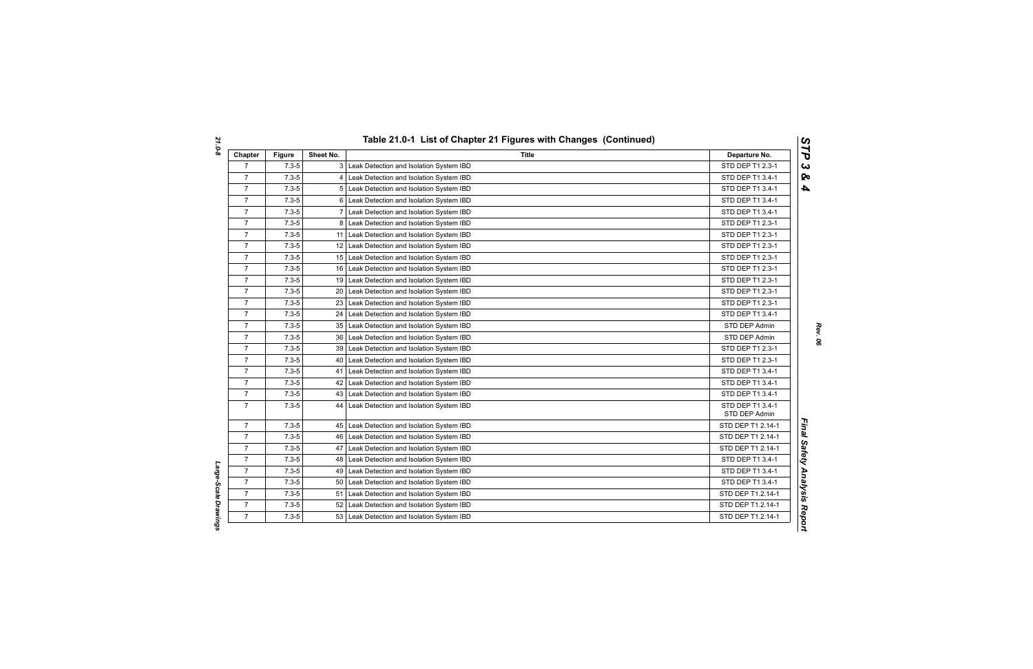| Chapter        | <b>Figure</b> | Sheet No. | <b>Title</b>                              | Departure No.                     |
|----------------|---------------|-----------|-------------------------------------------|-----------------------------------|
| $\overline{7}$ | $7.3 - 5$     |           | 3 Leak Detection and Isolation System IBD | STD DEP T1 2.3-1                  |
| $\overline{7}$ | $7.3 - 5$     |           | Leak Detection and Isolation System IBD   | STD DEP T1 3.4-1                  |
| $\overline{7}$ | $7.3 - 5$     | 5         | Leak Detection and Isolation System IBD   | STD DEP T1 3.4-1                  |
| $\overline{7}$ | $7.3 - 5$     | 6         | Leak Detection and Isolation System IBD   | STD DEP T1 3.4-1                  |
| $\overline{7}$ | $7.3 - 5$     | 7         | Leak Detection and Isolation System IBD   | STD DEP T1 3.4-1                  |
| $\overline{7}$ | $7.3 - 5$     | 8         | Leak Detection and Isolation System IBD   | STD DEP T1 2.3-1                  |
| $\overline{7}$ | $7.3 - 5$     | 11        | Leak Detection and Isolation System IBD   | STD DEP T1 2.3-1                  |
| $\overline{7}$ | $7.3 - 5$     | 12        | Leak Detection and Isolation System IBD   | STD DEP T1 2.3-1                  |
| $\overline{7}$ | $7.3 - 5$     | 15        | Leak Detection and Isolation System IBD   | STD DEP T1 2.3-1                  |
| $\overline{7}$ | $7.3 - 5$     | 16        | Leak Detection and Isolation System IBD   | STD DEP T1 2.3-1                  |
| $\overline{7}$ | $7.3 - 5$     | 19        | Leak Detection and Isolation System IBD   | STD DEP T1 2.3-1                  |
| 7              | $7.3 - 5$     | 20        | Leak Detection and Isolation System IBD   | STD DEP T1 2.3-1                  |
| $\overline{7}$ | $7.3 - 5$     | 23        | Leak Detection and Isolation System IBD   | STD DEP T1 2.3-1                  |
| $\overline{7}$ | $7.3 - 5$     | 24        | Leak Detection and Isolation System IBD   | STD DEP T1 3.4-1                  |
| $\overline{7}$ | $7.3 - 5$     | 35        | Leak Detection and Isolation System IBD   | STD DEP Admin                     |
| $\overline{7}$ | $7.3 - 5$     | 36        | Leak Detection and Isolation System IBD   | STD DEP Admin                     |
| $\overline{7}$ | $7.3 - 5$     | 39        | Leak Detection and Isolation System IBD   | STD DEP T1 2.3-1                  |
| $\overline{7}$ | $7.3 - 5$     | 40        | Leak Detection and Isolation System IBD   | STD DEP T1 2.3-1                  |
| $\overline{7}$ | $7.3 - 5$     | 41        | Leak Detection and Isolation System IBD   | STD DEP T1 3.4-1                  |
| $\overline{7}$ | $7.3 - 5$     | 42        | Leak Detection and Isolation System IBD   | STD DEP T1 3.4-1                  |
| $\overline{7}$ | $7.3 - 5$     | 43        | Leak Detection and Isolation System IBD   | STD DEP T1 3.4-1                  |
| $\overline{7}$ | $7.3 - 5$     | 44        | Leak Detection and Isolation System IBD   | STD DEP T1 3.4-1<br>STD DEP Admin |
| $\overline{7}$ | $7.3 - 5$     | 45        | Leak Detection and Isolation System IBD   | STD DEP T1 2.14-1                 |
| $\overline{7}$ | $7.3 - 5$     | 46        | Leak Detection and Isolation System IBD   | STD DEP T1 2.14-1                 |
| $\overline{7}$ | $7.3 - 5$     | 47        | Leak Detection and Isolation System IBD   | STD DEP T1 2.14-1                 |
| $\overline{7}$ | $7.3 - 5$     | 48        | Leak Detection and Isolation System IBD   | STD DEP T1 3.4-1                  |
| $\overline{7}$ | $7.3 - 5$     | 49        | Leak Detection and Isolation System IBD   | STD DEP T1 3.4-1                  |
| $\overline{7}$ | $7.3 - 5$     | 50        | Leak Detection and Isolation System IBD   | STD DEP T1 3.4-1                  |
| $\overline{7}$ | $7.3 - 5$     | 51        | Leak Detection and Isolation System IBD   | STD DEP T1.2.14-1                 |
| $\overline{7}$ | $7.3 - 5$     | 52        | Leak Detection and Isolation System IBD   | STD DEP T1.2.14-1                 |
| $\overline{7}$ | $7.3 - 5$     | 53        | Leak Detection and Isolation System IBD   | STD DEP T1.2.14-1                 |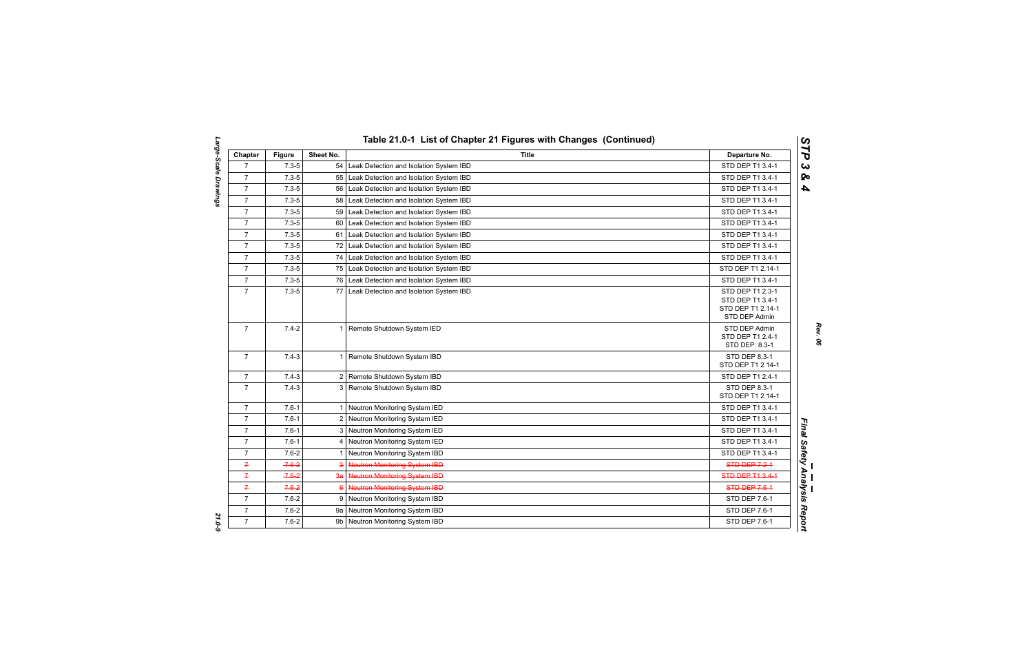| Chapter        | <b>Figure</b> | Sheet No.   | Title                                      | Departure No.                                                              |
|----------------|---------------|-------------|--------------------------------------------|----------------------------------------------------------------------------|
| $\overline{7}$ | $7.3 - 5$     |             | 54 Leak Detection and Isolation System IBD | STD DEP T1 3.4-1                                                           |
| $\overline{7}$ | $7.3 - 5$     | 55          | Leak Detection and Isolation System IBD    | STD DEP T1 3.4-1                                                           |
| $\overline{7}$ | $7.3 - 5$     | 56          | Leak Detection and Isolation System IBD    | STD DEP T1 3.4-1                                                           |
| $\overline{7}$ | $7.3 - 5$     | 58          | Leak Detection and Isolation System IBD    | STD DEP T1 3.4-1                                                           |
| $\overline{7}$ | $7.3 - 5$     | 59          | Leak Detection and Isolation System IBD    | STD DEP T1 3.4-1                                                           |
| $\overline{7}$ | $7.3 - 5$     | 60          | Leak Detection and Isolation System IBD    | STD DEP T1 3.4-1                                                           |
| $\overline{7}$ | $7.3 - 5$     |             | 61 Leak Detection and Isolation System IBD | STD DEP T1 3.4-1                                                           |
| $\overline{7}$ | $7.3 - 5$     |             | 72 Leak Detection and Isolation System IBD | STD DEP T1 3.4-1                                                           |
| $\overline{7}$ | $7.3 - 5$     | 74          | Leak Detection and Isolation System IBD    | STD DEP T1 3.4-1                                                           |
| $\overline{7}$ | $7.3 - 5$     | 75          | Leak Detection and Isolation System IBD    | STD DEP T1 2.14-1                                                          |
| $\overline{7}$ | $7.3 - 5$     |             | 76 Leak Detection and Isolation System IBD | STD DEP T1 3.4-1                                                           |
| $\overline{7}$ | $7.3 - 5$     | 77          | Leak Detection and Isolation System IBD    | STD DEP T1 2.3-1<br>STD DEP T1 3.4-1<br>STD DEP T1 2.14-1<br>STD DEP Admin |
| $\overline{7}$ | $7.4 - 2$     |             | 1 Remote Shutdown System IED               | STD DEP Admin<br>STD DEP T1 2.4-1<br>STD DEP 8.3-1                         |
| $\overline{7}$ | $7.4 - 3$     |             | 1 Remote Shutdown System IBD               | STD DEP 8.3-1<br>STD DEP T1 2.14-1                                         |
| $\overline{7}$ | $7.4 - 3$     |             | 2 Remote Shutdown System IBD               | STD DEP T1 2.4-1                                                           |
| $\overline{7}$ | $7.4 - 3$     |             | 3 Remote Shutdown System IBD               | STD DEP 8.3-1<br>STD DEP T1 2.14-1                                         |
| $\overline{7}$ | $7.6 - 1$     |             | 1 Neutron Monitoring System IED            | STD DEP T1 3.4-1                                                           |
| $\overline{7}$ | $7.6 - 1$     |             | 2 Neutron Monitoring System IED            | STD DEP T1 3.4-1                                                           |
| $\overline{7}$ | $7.6 - 1$     |             | 3 Neutron Monitoring System IED            | STD DEP T1 3.4-1                                                           |
| $\overline{7}$ | $7.6 - 1$     | 4           | Neutron Monitoring System IED              | STD DEP T1 3.4-1                                                           |
| $\overline{7}$ | $7.6 - 2$     | $\mathbf 1$ | Neutron Monitoring System IBD              | STD DEP T1 3.4-1                                                           |
| 7              | $-7.6 - 2$    | 3           | <b>Neutron Monitoring System IBD</b>       | <b>STD DEP 7.2-1</b>                                                       |
| $\overline{f}$ | $-7.6 - 2$    |             | 3a Neutron Monitoring System IBD           | STD DEP T1 3.4-1                                                           |
| 7              | $7.6 - 2$     | $6^{\circ}$ | Neutron Monitoring System IBD              | <b>STD DEP 7.6-1</b>                                                       |
| $\overline{7}$ | $7.6 - 2$     |             | 9 Neutron Monitoring System IBD            | STD DEP 7.6-1                                                              |
| $\overline{7}$ | $7.6 - 2$     |             | 9a Neutron Monitoring System IBD           | STD DEP 7.6-1                                                              |
| $\overline{7}$ | $7.6 - 2$     |             | 9b   Neutron Monitoring System IBD         | STD DEP 7.6-1                                                              |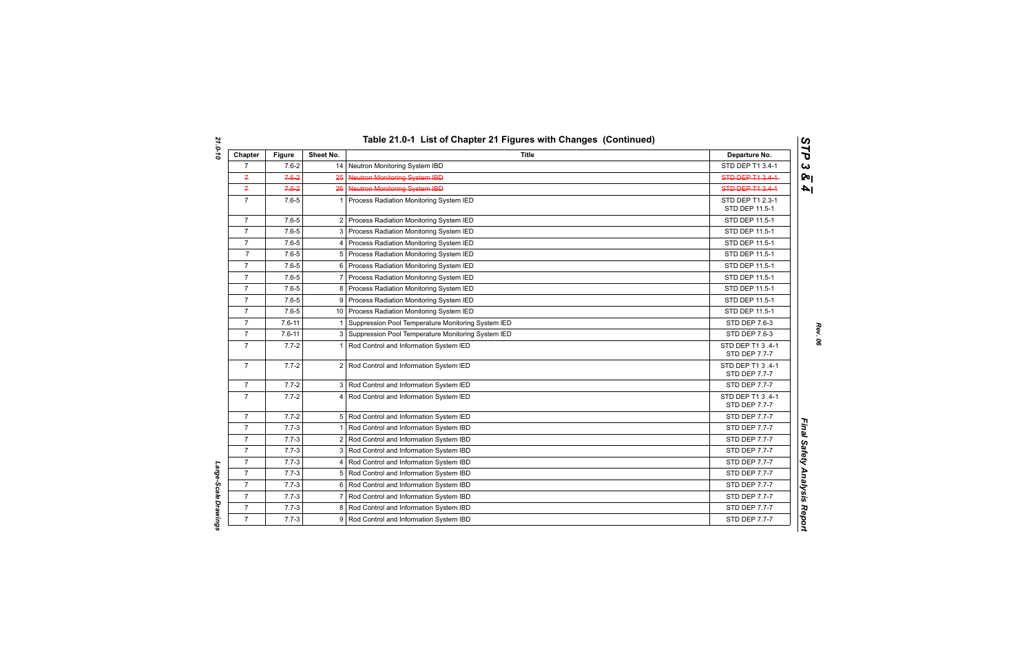| Chapter        | <b>Figure</b> | Sheet No. | <b>Title</b>                                         | Departure No.                      |
|----------------|---------------|-----------|------------------------------------------------------|------------------------------------|
| $\overline{7}$ | $7.6 - 2$     |           | 14 Neutron Monitoring System IBD                     | STD DEP T1 3.4-1                   |
| $\overline{f}$ | $7.6 - 2$     | 25        | <b>Neutron Monitoring System IBD</b>                 | STD DEP T1 3.4-1                   |
| $\overline{f}$ | $7.6 - 2$     | 26        | Neutron Monitoring System IBD                        | STD DEP T1 3.4-1                   |
| $\overline{7}$ | $7.6 - 5$     |           | 1 Process Radiation Monitoring System IED            | STD DEP T1 2.3-1<br>STD DEP 11.5-1 |
| $\overline{7}$ | $7.6 - 5$     |           | 2 Process Radiation Monitoring System IED            | STD DEP 11.5-1                     |
| $\overline{7}$ | $7.6 - 5$     |           | 3 Process Radiation Monitoring System IED            | STD DEP 11.5-1                     |
| $\overline{7}$ | $7.6 - 5$     | 4         | Process Radiation Monitoring System IED              | STD DEP 11.5-1                     |
| $\overline{7}$ | $7.6 - 5$     |           | 5 Process Radiation Monitoring System IED            | STD DEP 11.5-1                     |
| $\overline{7}$ | $7.6 - 5$     |           | 6 Process Radiation Monitoring System IED            | STD DEP 11.5-1                     |
| $\overline{7}$ | $7.6 - 5$     |           | 7 Process Radiation Monitoring System IED            | STD DEP 11.5-1                     |
| $\overline{7}$ | $7.6 - 5$     |           | 8 Process Radiation Monitoring System IED            | STD DEP 11.5-1                     |
| $\overline{7}$ | $7.6 - 5$     |           | 9 Process Radiation Monitoring System IED            | STD DEP 11.5-1                     |
| $\overline{7}$ | $7.6 - 5$     |           | 10 Process Radiation Monitoring System IED           | STD DEP 11.5-1                     |
| $\overline{7}$ | $7.6 - 11$    |           | Suppression Pool Temperature Monitoring System IED   | STD DEP 7.6-3                      |
| $\overline{7}$ | $7.6 - 11$    |           | 3 Suppression Pool Temperature Monitoring System IED | STD DEP 7.6-3                      |
| $\overline{7}$ | $7.7 - 2$     |           | 1 Rod Control and Information System IED             | STD DEP T1 3 .4-1<br>STD DEP 7.7-7 |
| $\overline{7}$ | $7.7 - 2$     |           | 2 Rod Control and Information System IED             | STD DEP T1 3 .4-1<br>STD DEP 7.7-7 |
| $\overline{7}$ | $7.7 - 2$     |           | 3 Rod Control and Information System IED             | <b>STD DEP 7.7-7</b>               |
| $\overline{7}$ | $7.7 - 2$     |           | 4 Rod Control and Information System IED             | STD DEP T1 3 .4-1<br>STD DEP 7.7-7 |
| $\overline{7}$ | $7.7 - 2$     |           | 5 Rod Control and Information System IED             | <b>STD DEP 7.7-7</b>               |
| $\overline{7}$ | $7.7 - 3$     |           | 1 Rod Control and Information System IBD             | <b>STD DEP 7.7-7</b>               |
| $\overline{7}$ | $7.7 - 3$     |           | 2 Rod Control and Information System IBD             | STD DEP 7.7-7                      |
| $\overline{7}$ | $7.7 - 3$     |           | 3 Rod Control and Information System IBD             | STD DEP 7.7-7                      |
| $\overline{7}$ | $7.7 - 3$     |           | 4 Rod Control and Information System IBD             | STD DEP 7.7-7                      |
| $\overline{7}$ | $7.7 - 3$     |           | 5 Rod Control and Information System IBD             | STD DEP 7.7-7                      |
| $\overline{7}$ | $7.7 - 3$     |           | 6 Rod Control and Information System IBD             | STD DEP 7.7-7                      |
| $\overline{7}$ | $7.7 - 3$     |           | 7 Rod Control and Information System IBD             | <b>STD DEP 7.7-7</b>               |
| $\overline{7}$ | $7.7 - 3$     |           | 8 Rod Control and Information System IBD             | <b>STD DEP 7.7-7</b>               |
| $\overline{7}$ | $7.7 - 3$     |           | 9 Rod Control and Information System IBD             | STD DEP 7.7-7                      |

*Rev. 06*

Large-Scale Drawings *Large-Scale Drawings*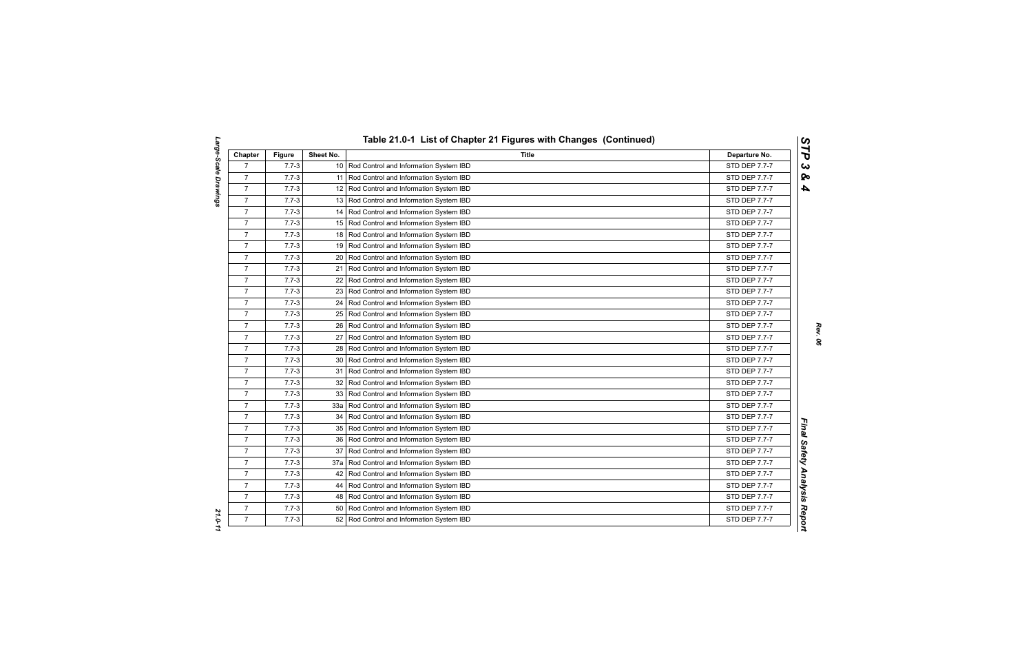| Chapter        | <b>Figure</b> | Sheet No.       | <b>Title</b>                                 | Departure No.        |
|----------------|---------------|-----------------|----------------------------------------------|----------------------|
| $\overline{7}$ | $7.7 - 3$     |                 | 10 Rod Control and Information System IBD    | STD DEP 7.7-7        |
| $\overline{7}$ | $7.7 - 3$     |                 | 11 Rod Control and Information System IBD    | STD DEP 7.7-7        |
| $\overline{7}$ | $7.7 - 3$     |                 | 12 Rod Control and Information System IBD    | STD DEP 7.7-7        |
| $\overline{7}$ | $7.7 - 3$     |                 | 13 Rod Control and Information System IBD    | STD DEP 7.7-7        |
| $\overline{7}$ | $7.7 - 3$     |                 | 14 Rod Control and Information System IBD    | <b>STD DEP 7.7-7</b> |
| $\overline{7}$ | $7.7 - 3$     |                 | 15 Rod Control and Information System IBD    | STD DEP 7.7-7        |
| $\overline{7}$ | $7.7 - 3$     |                 | 18 Rod Control and Information System IBD    | <b>STD DEP 7.7-7</b> |
| $\overline{7}$ | $7.7 - 3$     |                 | 19 Rod Control and Information System IBD    | STD DEP 7.7-7        |
| $\overline{7}$ | $7.7 - 3$     |                 | 20 Rod Control and Information System IBD    | STD DEP 7.7-7        |
| $\overline{7}$ | $7.7 - 3$     | 21 <sup>1</sup> | Rod Control and Information System IBD       | STD DEP 7.7-7        |
| $\overline{7}$ | $7.7 - 3$     |                 | 22   Rod Control and Information System IBD  | STD DEP 7.7-7        |
| $\overline{7}$ | $7.7 - 3$     |                 | 23 Rod Control and Information System IBD    | STD DEP 7.7-7        |
| $\overline{7}$ | $7.7 - 3$     |                 | 24   Rod Control and Information System IBD  | STD DEP 7.7-7        |
| $\overline{7}$ | $7.7 - 3$     |                 | 25   Rod Control and Information System IBD  | STD DEP 7.7-7        |
| $\overline{7}$ | $7.7 - 3$     |                 | 26   Rod Control and Information System IBD  | STD DEP 7.7-7        |
| $\overline{7}$ | $7.7 - 3$     |                 | 27   Rod Control and Information System IBD  | <b>STD DEP 7.7-7</b> |
| $\overline{7}$ | $7.7 - 3$     | 28              | Rod Control and Information System IBD       | STD DEP 7.7-7        |
| $\overline{7}$ | $7.7 - 3$     | 30 <sup>1</sup> | Rod Control and Information System IBD       | STD DEP 7.7-7        |
| $\overline{7}$ | $7.7 - 3$     |                 | 31 Rod Control and Information System IBD    | STD DEP 7.7-7        |
| $\overline{7}$ | $7.7 - 3$     |                 | 32 Rod Control and Information System IBD    | STD DEP 7.7-7        |
| $\overline{7}$ | $7.7 - 3$     |                 | 33   Rod Control and Information System IBD  | STD DEP 7.7-7        |
| $\overline{7}$ | $7.7 - 3$     |                 | 33a   Rod Control and Information System IBD | STD DEP 7.7-7        |
| $\overline{7}$ | $7.7 - 3$     | 34 I            | Rod Control and Information System IBD       | STD DEP 7.7-7        |
| $\overline{7}$ | $7.7 - 3$     |                 | 35 Rod Control and Information System IBD    | STD DEP 7.7-7        |
| $\overline{7}$ | $7.7 - 3$     |                 | 36   Rod Control and Information System IBD  | <b>STD DEP 7.7-7</b> |
| $\overline{7}$ | $7.7 - 3$     | 37 <sup>1</sup> | Rod Control and Information System IBD       | STD DEP 7.7-7        |
| $\overline{7}$ | $7.7 - 3$     |                 | 37a   Rod Control and Information System IBD | STD DEP 7.7-7        |
| $\overline{7}$ | $7.7 - 3$     |                 | 42   Rod Control and Information System IBD  | STD DEP 7.7-7        |
| $\overline{7}$ | $7.7 - 3$     |                 | 44   Rod Control and Information System IBD  | STD DEP 7.7-7        |
| $\overline{7}$ | $7.7 - 3$     |                 | 48   Rod Control and Information System IBD  | STD DEP 7.7-7        |
| $\overline{7}$ | $7.7 - 3$     | 50 <sub>1</sub> | Rod Control and Information System IBD       | STD DEP 7.7-7        |
| $\overline{7}$ | $7.7 - 3$     |                 | 52 Rod Control and Information System IBD    | STD DEP 7.7-7        |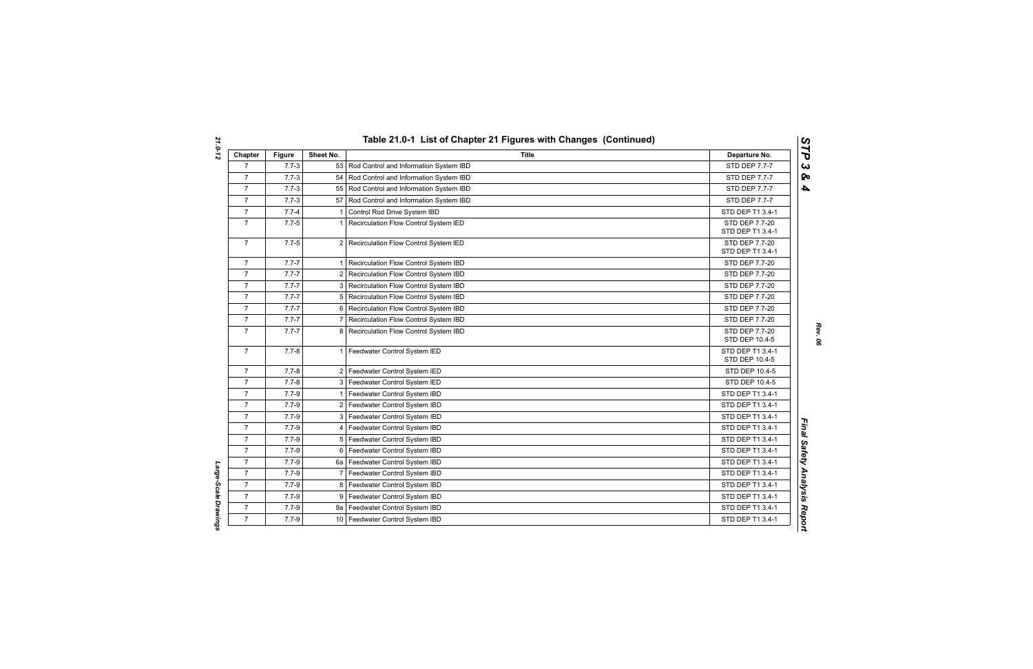| Chapter        | Figure    | Sheet No.      | Title                                       | Departure No.                      |
|----------------|-----------|----------------|---------------------------------------------|------------------------------------|
| $\overline{7}$ | $7.7 - 3$ |                | 53 Rod Control and Information System IBD   | STD DEP 7.7-7                      |
| $\overline{7}$ | $7.7 - 3$ |                | 54 Rod Control and Information System IBD   | <b>STD DEP 7.7-7</b>               |
| $\overline{7}$ | $7.7 - 3$ |                | 55   Rod Control and Information System IBD | STD DEP 7.7-7                      |
| $\overline{7}$ | $7.7 - 3$ |                | 57 Rod Control and Information System IBD   | STD DEP 7.7-7                      |
| $\overline{7}$ | $7.7 - 4$ | 1              | Control Rod Drive System IBD                | STD DEP T1 3.4-1                   |
| $\overline{7}$ | $7.7 - 5$ | 1              | Recirculation Flow Control System IED       | STD DEP 7.7-20<br>STD DEP T1 3.4-1 |
| $\overline{7}$ | $7.7 - 5$ |                | 2 Recirculation Flow Control System IED     | STD DEP 7.7-20<br>STD DEP T1 3.4-1 |
| $\overline{7}$ | $7.7 - 7$ |                | Recirculation Flow Control System IBD       | STD DEP 7.7-20                     |
| $\overline{7}$ | $7.7 - 7$ | $\overline{2}$ | Recirculation Flow Control System IBD       | STD DEP 7.7-20                     |
| $\overline{7}$ | $7.7 - 7$ | 3              | Recirculation Flow Control System IBD       | STD DEP 7.7-20                     |
| $\overline{7}$ | $7.7 - 7$ | 5              | Recirculation Flow Control System IBD       | STD DEP 7.7-20                     |
| $\overline{7}$ | $7.7 - 7$ | 6              | Recirculation Flow Control System IBD       | STD DEP 7.7-20                     |
| $\overline{7}$ | $7.7 - 7$ | $\overline{7}$ | Recirculation Flow Control System IBD       | STD DEP 7.7-20                     |
| $\overline{7}$ | $7.7 - 7$ |                | 8 Recirculation Flow Control System IBD     | STD DEP 7.7-20<br>STD DEP 10.4-5   |
| $\overline{7}$ | $7.7 - 8$ |                | 1 Feedwater Control System IED              | STD DEP T1 3.4-1<br>STD DEP 10.4-5 |
| 7              | $7.7 - 8$ |                | 2 Feedwater Control System IED              | STD DEP 10.4-5                     |
| $\overline{7}$ | $7.7 - 8$ |                | 3 Feedwater Control System IED              | STD DEP 10.4-5                     |
| $\overline{7}$ | $7.7 - 9$ |                | 1   Feedwater Control System IBD            | STD DEP T1 3.4-1                   |
| $\overline{7}$ | $7.7 - 9$ |                | 2 Feedwater Control System IBD              | STD DEP T1 3.4-1                   |
| $\overline{7}$ | $7.7 - 9$ |                | 3   Feedwater Control System IBD            | STD DEP T1 3.4-1                   |
| $\overline{7}$ | $7.7 - 9$ | 4              | Feedwater Control System IBD                | STD DEP T1 3.4-1                   |
| $\overline{7}$ | $7.7 - 9$ |                | 5   Feedwater Control System IBD            | STD DEP T1 3.4-1                   |
| $\overline{7}$ | $7.7 - 9$ |                | 6 Feedwater Control System IBD              | STD DEP T1 3.4-1                   |
| $\overline{7}$ | $7.7 - 9$ |                | 6a   Feedwater Control System IBD           | STD DEP T1 3.4-1                   |
| $\overline{7}$ | $7.7 - 9$ | 7              | Feedwater Control System IBD                | STD DEP T1 3.4-1                   |
| $\overline{7}$ | $7.7 - 9$ | 8              | Feedwater Control System IBD                | STD DEP T1 3.4-1                   |
| $\overline{7}$ | $7.7 - 9$ | 9              | Feedwater Control System IBD                | STD DEP T1 3.4-1                   |
| $\overline{7}$ | $7.7 - 9$ |                | 9a   Feedwater Control System IBD           | STD DEP T1 3.4-1                   |
| $\overline{7}$ | $7.7 - 9$ |                | 10 Feedwater Control System IBD             | STD DEP T1 3.4-1                   |

Large-Scale Drawings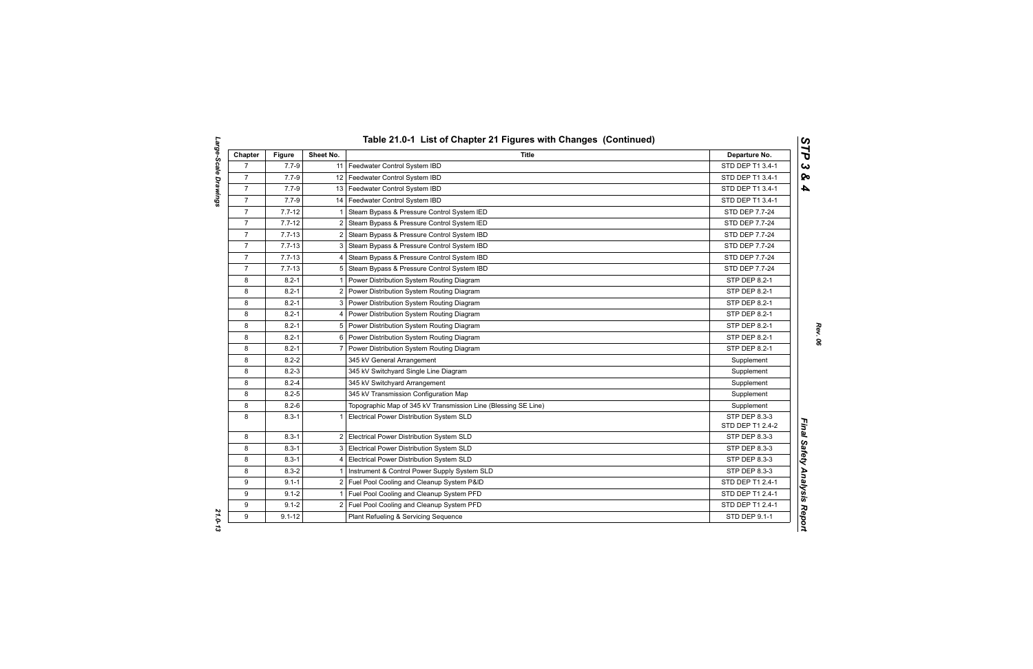| Chapter        | <b>Figure</b> | Sheet No. | <b>Title</b>                                                   | Departure No.                     |
|----------------|---------------|-----------|----------------------------------------------------------------|-----------------------------------|
| $\overline{7}$ | $7.7 - 9$     |           | 11   Feedwater Control System IBD                              | STD DEP T1 3.4-1                  |
| $\overline{7}$ | $7.7 - 9$     |           | 12 Feedwater Control System IBD                                | STD DEP T1 3.4-1                  |
| $\overline{7}$ | $7.7 - 9$     |           | 13 Feedwater Control System IBD                                | STD DEP T1 3.4-1                  |
| $\overline{7}$ | $7.7 - 9$     |           | 14   Feedwater Control System IBD                              | STD DEP T1 3.4-1                  |
| $\overline{7}$ | $7.7 - 12$    | 1         | Steam Bypass & Pressure Control System IED                     | STD DEP 7.7-24                    |
| $\overline{7}$ | $7.7 - 12$    |           | 2 Steam Bypass & Pressure Control System IED                   | STD DEP 7.7-24                    |
| $\overline{7}$ | $7.7 - 13$    |           | 2 Steam Bypass & Pressure Control System IBD                   | <b>STD DEP 7.7-24</b>             |
| $\overline{7}$ | $7.7 - 13$    |           | 3 Steam Bypass & Pressure Control System IBD                   | STD DEP 7.7-24                    |
| $\overline{7}$ | $7.7 - 13$    | 4         | Steam Bypass & Pressure Control System IBD                     | STD DEP 7.7-24                    |
| $\overline{7}$ | $7.7 - 13$    | 5         | Steam Bypass & Pressure Control System IBD                     | STD DEP 7.7-24                    |
| 8              | $8.2 - 1$     |           | Power Distribution System Routing Diagram                      | STP DEP 8.2-1                     |
| 8              | $8.2 - 1$     |           | 2 Power Distribution System Routing Diagram                    | STP DEP 8.2-1                     |
| 8              | $8.2 - 1$     |           | 3 Power Distribution System Routing Diagram                    | STP DEP 8.2-1                     |
| 8              | $8.2 - 1$     | 4         | Power Distribution System Routing Diagram                      | STP DEP 8.2-1                     |
| 8              | $8.2 - 1$     | 5         | Power Distribution System Routing Diagram                      | STP DEP 8.2-1                     |
| 8              | $8.2 - 1$     |           | 6 Power Distribution System Routing Diagram                    | STP DEP 8.2-1                     |
| 8              | $8.2 - 1$     | 7         | Power Distribution System Routing Diagram                      | <b>STP DEP 8.2-1</b>              |
| 8              | $8.2 - 2$     |           | 345 kV General Arrangement                                     | Supplement                        |
| 8              | $8.2 - 3$     |           | 345 kV Switchyard Single Line Diagram                          | Supplement                        |
| 8              | $8.2 - 4$     |           | 345 kV Switchyard Arrangement                                  | Supplement                        |
| 8              | $8.2 - 5$     |           | 345 kV Transmission Configuration Map                          | Supplement                        |
| 8              | $8.2 - 6$     |           | Topographic Map of 345 kV Transmission Line (Blessing SE Line) | Supplement                        |
| 8              | $8.3 - 1$     | 1         | Electrical Power Distribution System SLD                       | STP DEP 8.3-3<br>STD DEP T1 2.4-2 |
| 8              | $8.3 - 1$     |           | 2 Electrical Power Distribution System SLD                     | STP DEP 8.3-3                     |
| 8              | $8.3 - 1$     |           | 3 Electrical Power Distribution System SLD                     | STP DEP 8.3-3                     |
| 8              | $8.3 - 1$     | 4         | Electrical Power Distribution System SLD                       | STP DEP 8.3-3                     |
| 8              | $8.3 - 2$     |           | Instrument & Control Power Supply System SLD                   | STP DEP 8.3-3                     |
| 9              | $9.1 - 1$     |           | 2 Fuel Pool Cooling and Cleanup System P&ID                    | STD DEP T1 2.4-1                  |
| 9              | $9.1 - 2$     |           | 1 Fuel Pool Cooling and Cleanup System PFD                     | STD DEP T1 2.4-1                  |
| 9              | $9.1 - 2$     |           | 2 Fuel Pool Cooling and Cleanup System PFD                     | STD DEP T1 2.4-1                  |
| 9              | $9.1 - 12$    |           | Plant Refueling & Servicing Sequence                           | STD DEP 9.1-1                     |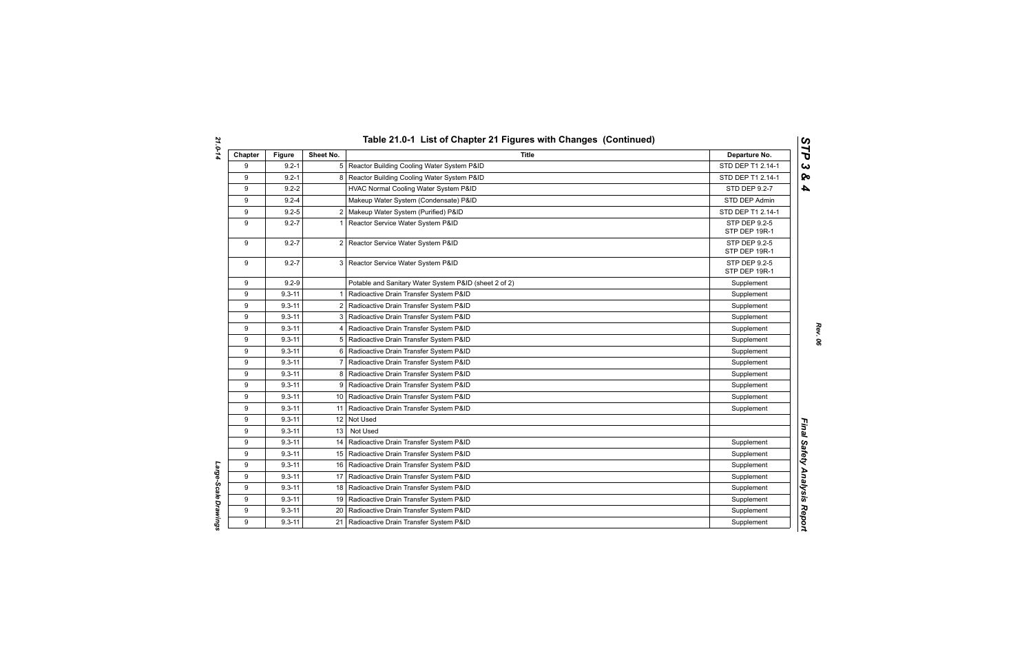Large-Scale Drawings

| Chapter | <b>Figure</b> | Sheet No.       | <b>Title</b>                                          | Departure No.                  |
|---------|---------------|-----------------|-------------------------------------------------------|--------------------------------|
| 9       | $9.2 - 1$     |                 | 5 Reactor Building Cooling Water System P&ID          | STD DEP T1 2.14-1              |
| 9       | $9.2 - 1$     |                 | 8 Reactor Building Cooling Water System P&ID          | STD DEP T1 2.14-1              |
| 9       | $9.2 - 2$     |                 | HVAC Normal Cooling Water System P&ID                 | STD DEP 9.2-7                  |
| 9       | $9.2 - 4$     |                 | Makeup Water System (Condensate) P&ID                 | STD DEP Admin                  |
| 9       | $9.2 - 5$     |                 | 2 Makeup Water System (Purified) P&ID                 | STD DEP T1 2.14-1              |
| 9       | $9.2 - 7$     | -1              | Reactor Service Water System P&ID                     | STP DEP 9.2-5<br>STP DEP 19R-1 |
| 9       | $9.2 - 7$     |                 | 2 Reactor Service Water System P&ID                   | STP DEP 9.2-5<br>STP DEP 19R-1 |
| 9       | $9.2 - 7$     |                 | 3 Reactor Service Water System P&ID                   | STP DEP 9.2-5<br>STP DEP 19R-1 |
| 9       | $9.2 - 9$     |                 | Potable and Sanitary Water System P&ID (sheet 2 of 2) | Supplement                     |
| 9       | $9.3 - 11$    |                 | Radioactive Drain Transfer System P&ID                | Supplement                     |
| 9       | $9.3 - 11$    | 2 <sub>1</sub>  | Radioactive Drain Transfer System P&ID                | Supplement                     |
| 9       | $9.3 - 11$    |                 | 3 Radioactive Drain Transfer System P&ID              | Supplement                     |
| 9       | $9.3 - 11$    |                 | 4 Radioactive Drain Transfer System P&ID              | Supplement                     |
| 9       | $9.3 - 11$    |                 | 5 Radioactive Drain Transfer System P&ID              | Supplement                     |
| 9       | $9.3 - 11$    |                 | 6 Radioactive Drain Transfer System P&ID              | Supplement                     |
| 9       | $9.3 - 11$    |                 | 7   Radioactive Drain Transfer System P&ID            | Supplement                     |
| 9       | $9.3 - 11$    |                 | 8   Radioactive Drain Transfer System P&ID            | Supplement                     |
| 9       | $9.3 - 11$    |                 | 9 Radioactive Drain Transfer System P&ID              | Supplement                     |
| 9       | $9.3 - 11$    |                 | 10 Radioactive Drain Transfer System P&ID             | Supplement                     |
| 9       | $9.3 - 11$    | 11 I            | Radioactive Drain Transfer System P&ID                | Supplement                     |
| 9       | $9.3 - 11$    |                 | 12 Not Used                                           |                                |
| 9       | $9.3 - 11$    | 13 <sup>1</sup> | Not Used                                              |                                |
| 9       | $9.3 - 11$    |                 | 14   Radioactive Drain Transfer System P&ID           | Supplement                     |
| 9       | $9.3 - 11$    |                 | 15   Radioactive Drain Transfer System P&ID           | Supplement                     |
| 9       | $9.3 - 11$    |                 | 16 Radioactive Drain Transfer System P&ID             | Supplement                     |
| 9       | $9.3 - 11$    |                 | 17   Radioactive Drain Transfer System P&ID           | Supplement                     |
| 9       | $9.3 - 11$    |                 | 18 Radioactive Drain Transfer System P&ID             | Supplement                     |
| 9       | $9.3 - 11$    |                 | 19   Radioactive Drain Transfer System P&ID           | Supplement                     |
| 9       | $9.3 - 11$    |                 | 20 Radioactive Drain Transfer System P&ID             | Supplement                     |
| 9       | $9.3 - 11$    | 21 <sub>1</sub> | Radioactive Drain Transfer System P&ID                | Supplement                     |

*Rev. 06*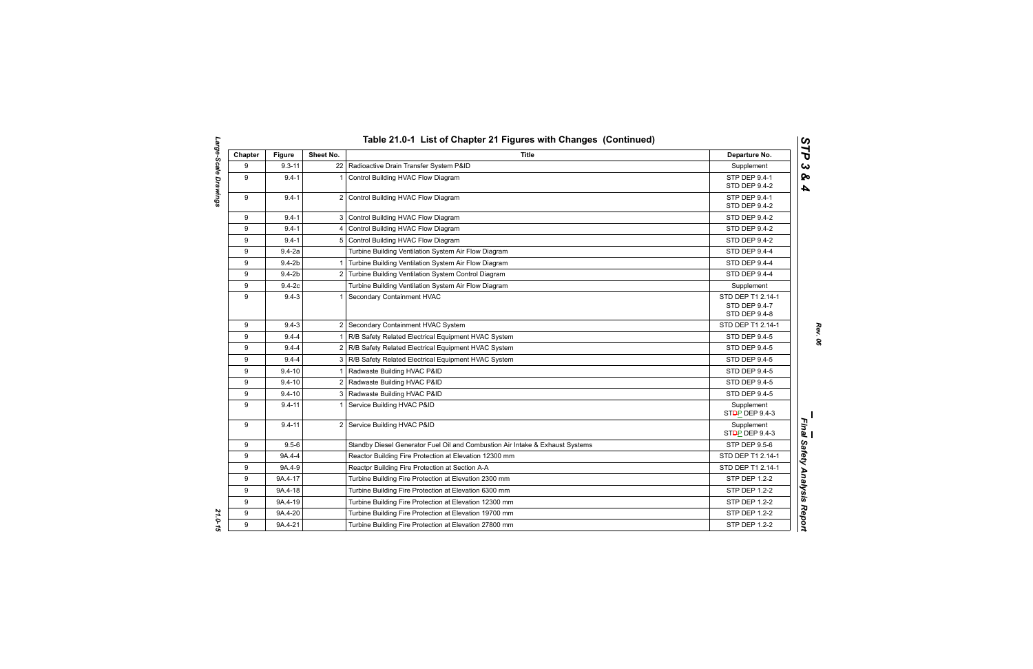| Chapter | <b>Figure</b> | Sheet No. | <b>Title</b>                                                                  | Departure No.                                              |
|---------|---------------|-----------|-------------------------------------------------------------------------------|------------------------------------------------------------|
| 9       | $9.3 - 11$    |           | 22   Radioactive Drain Transfer System P&ID                                   | Supplement                                                 |
| 9       | $9.4 - 1$     |           | Control Building HVAC Flow Diagram                                            | STP DEP 9.4-1<br><b>STD DEP 9.4-2</b>                      |
| 9       | $9.4 - 1$     |           | 2 Control Building HVAC Flow Diagram                                          | STP DEP 9.4-1<br>STD DEP 9.4-2                             |
| 9       | $9.4 - 1$     |           | 3 Control Building HVAC Flow Diagram                                          | <b>STD DEP 9.4-2</b>                                       |
| 9       | $9.4 - 1$     |           | Control Building HVAC Flow Diagram                                            | <b>STD DEP 9.4-2</b>                                       |
| 9       | $9.4 - 1$     |           | 5 Control Building HVAC Flow Diagram                                          | <b>STD DEP 9.4-2</b>                                       |
| 9       | $9.4 - 2a$    |           | Turbine Building Ventilation System Air Flow Diagram                          | STD DEP 9.4-4                                              |
| 9       | $9.4 - 2b$    |           | 1 Turbine Building Ventilation System Air Flow Diagram                        | STD DEP 9.4-4                                              |
| 9       | $9.4 - 2b$    |           | 2 Turbine Building Ventilation System Control Diagram                         | STD DEP 9.4-4                                              |
| 9       | $9.4-2c$      |           | Turbine Building Ventilation System Air Flow Diagram                          | Supplement                                                 |
| 9       | $9.4 - 3$     |           | Secondary Containment HVAC                                                    | STD DEP T1 2.14-1<br><b>STD DEP 9.4-7</b><br>STD DEP 9.4-8 |
| 9       | $9.4 - 3$     |           | 2 Secondary Containment HVAC System                                           | STD DEP T1 2.14-1                                          |
| 9       | $9.4 - 4$     |           | R/B Safety Related Electrical Equipment HVAC System                           | <b>STD DEP 9.4-5</b>                                       |
| 9       | $9.4 - 4$     |           | 2 R/B Safety Related Electrical Equipment HVAC System                         | <b>STD DEP 9.4-5</b>                                       |
| 9       | $9.4 - 4$     |           | 3 R/B Safety Related Electrical Equipment HVAC System                         | <b>STD DEP 9.4-5</b>                                       |
| 9       | $9.4 - 10$    |           | Radwaste Building HVAC P&ID                                                   | STD DEP 9.4-5                                              |
| 9       | $9.4 - 10$    |           | 2 Radwaste Building HVAC P&ID                                                 | <b>STD DEP 9.4-5</b>                                       |
| 9       | $9.4 - 10$    |           | Radwaste Building HVAC P&ID                                                   | STD DEP 9.4-5                                              |
| 9       | $9.4 - 11$    |           | Service Building HVAC P&ID                                                    | Supplement<br>ST <sub>D</sub> P DEP 9.4-3                  |
| 9       | $9.4 - 11$    |           | 2 Service Building HVAC P&ID                                                  | Supplement<br>ST <del>D</del> P DEP 9.4-3                  |
| 9       | $9.5 - 6$     |           | Standby Diesel Generator Fuel Oil and Combustion Air Intake & Exhaust Systems | STP DEP 9.5-6                                              |
| 9       | 9A.4-4        |           | Reactor Building Fire Protection at Elevation 12300 mm                        | STD DEP T1 2.14-1                                          |
| 9       | 9A.4-9        |           | Reactpr Building Fire Protection at Section A-A                               | STD DEP T1 2.14-1                                          |
| 9       | 9A.4-17       |           | Turbine Building Fire Protection at Elevation 2300 mm                         | <b>STP DEP 1.2-2</b>                                       |
| 9       | 9A.4-18       |           | Turbine Building Fire Protection at Elevation 6300 mm                         | STP DEP 1.2-2                                              |
| 9       | 9A.4-19       |           | Turbine Building Fire Protection at Elevation 12300 mm                        | <b>STP DEP 1.2-2</b>                                       |
| 9       | 9A.4-20       |           | Turbine Building Fire Protection at Elevation 19700 mm                        | <b>STP DEP 1.2-2</b>                                       |
| 9       | 9A.4-21       |           | Turbine Building Fire Protection at Elevation 27800 mm                        | STP DEP 1.2-2                                              |

*Large-Scale Drawings 21.0-15* 21.0-15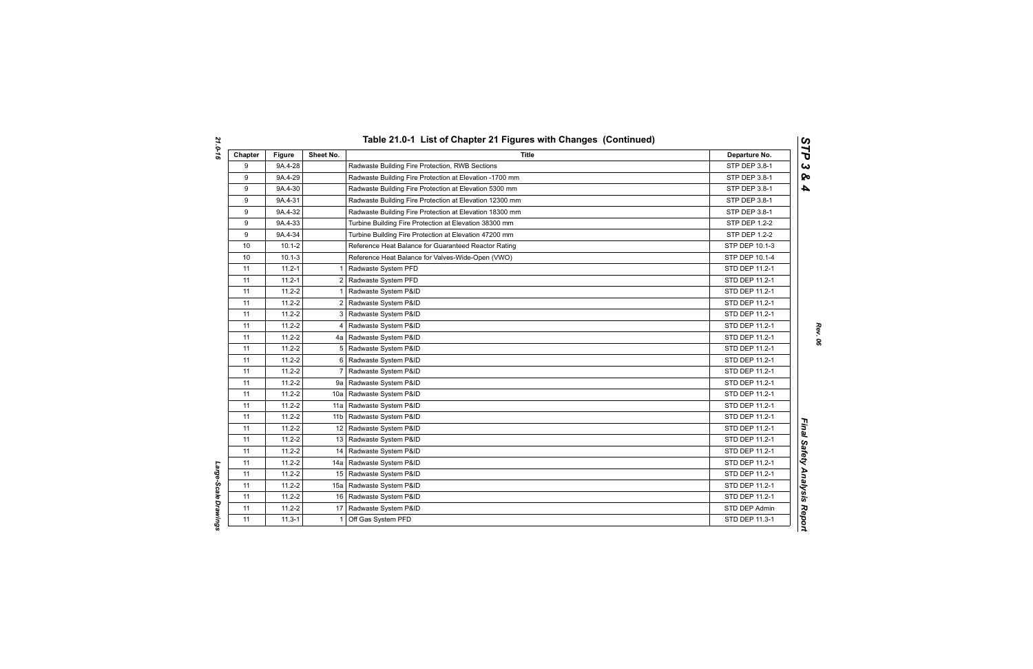| Chapter | <b>Figure</b> | Sheet No.             | <b>Title</b>                                            | Departure No.        |
|---------|---------------|-----------------------|---------------------------------------------------------|----------------------|
| 9       | 9A.4-28       |                       | Radwaste Building Fire Protection, RWB Sections         | STP DEP 3.8-1        |
| 9       | 9A.4-29       |                       | Radwaste Building Fire Protection at Elevation -1700 mm | STP DEP 3.8-1        |
| 9       | 9A.4-30       |                       | Radwaste Building Fire Protection at Elevation 5300 mm  | STP DEP 3.8-1        |
| 9       | 9A.4-31       |                       | Radwaste Building Fire Protection at Elevation 12300 mm | STP DEP 3.8-1        |
| 9       | 9A.4-32       |                       | Radwaste Building Fire Protection at Elevation 18300 mm | STP DEP 3.8-1        |
| 9       | 9A.4-33       |                       | Turbine Building Fire Protection at Elevation 38300 mm  | STP DEP 1.2-2        |
| 9       | 9A.4-34       |                       | Turbine Building Fire Protection at Elevation 47200 mm  | <b>STP DEP 1.2-2</b> |
| 10      | $10.1 - 2$    |                       | Reference Heat Balance for Guaranteed Reactor Rating    | STP DEP 10.1-3       |
| 10      | $10.1 - 3$    |                       | Reference Heat Balance for Valves-Wide-Open (VWO)       | STP DEP 10.1-4       |
| 11      | $11.2 - 1$    |                       | Radwaste System PFD                                     | STD DEP 11.2-1       |
| 11      | $11.2 - 1$    | 2                     | Radwaste System PFD                                     | STD DEP 11.2-1       |
| 11      | $11.2 - 2$    |                       | Radwaste System P&ID                                    | STD DEP 11.2-1       |
| 11      | $11.2 - 2$    | $\mathbf{2}^{\prime}$ | Radwaste System P&ID                                    | STD DEP 11.2-1       |
| 11      | $11.2 - 2$    | 3                     | Radwaste System P&ID                                    | STD DEP 11.2-1       |
| 11      | $11.2 - 2$    | 4                     | Radwaste System P&ID                                    | STD DEP 11.2-1       |
| 11      | $11.2 - 2$    |                       | 4a   Radwaste System P&ID                               | STD DEP 11.2-1       |
| 11      | $11.2 - 2$    | 5                     | Radwaste System P&ID                                    | STD DEP 11.2-1       |
| 11      | $11.2 - 2$    | 6                     | Radwaste System P&ID                                    | STD DEP 11.2-1       |
| 11      | $11.2 - 2$    | 7                     | Radwaste System P&ID                                    | STD DEP 11.2-1       |
| 11      | $11.2 - 2$    |                       | 9a Radwaste System P&ID                                 | STD DEP 11.2-1       |
| 11      | $11.2 - 2$    | 10a                   | Radwaste System P&ID                                    | STD DEP 11.2-1       |
| 11      | $11.2 - 2$    | 11a                   | Radwaste System P&ID                                    | STD DEP 11.2-1       |
| 11      | $11.2 - 2$    | 11 b                  | Radwaste System P&ID                                    | STD DEP 11.2-1       |
| 11      | $11.2 - 2$    | 12                    | Radwaste System P&ID                                    | STD DEP 11.2-1       |
| 11      | $11.2 - 2$    |                       | 13 Radwaste System P&ID                                 | STD DEP 11.2-1       |
| 11      | $11.2 - 2$    |                       | 14 Radwaste System P&ID                                 | STD DEP 11.2-1       |
| 11      | $11.2 - 2$    |                       | 14a   Radwaste System P&ID                              | STD DEP 11.2-1       |
| 11      | $11.2 - 2$    |                       | 15   Radwaste System P&ID                               | STD DEP 11.2-1       |
| 11      | $11.2 - 2$    | 15a                   | Radwaste System P&ID                                    | STD DEP 11.2-1       |
| 11      | $11.2 - 2$    | 16                    | Radwaste System P&ID                                    | STD DEP 11.2-1       |
| 11      | $11.2 - 2$    |                       | 17 Radwaste System P&ID                                 | STD DEP Admin        |
| 11      | $11.3 - 1$    |                       | Off Gas System PFD                                      | STD DEP 11.3-1       |

Large-Scale Drawings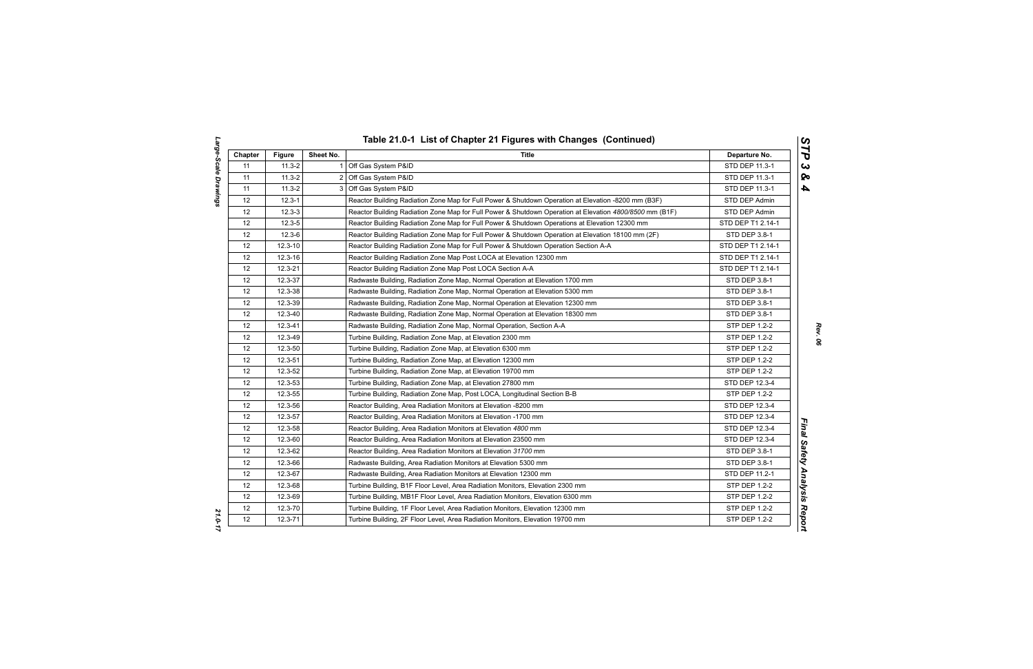| Chapter | <b>Figure</b> | Sheet No.    | <b>Title</b>                                                                                            | Departure No.        |
|---------|---------------|--------------|---------------------------------------------------------------------------------------------------------|----------------------|
| 11      | $11.3 - 2$    | $\mathbf{1}$ | Off Gas System P&ID                                                                                     | STD DEP 11.3-1       |
| 11      | $11.3 - 2$    |              | 2 Off Gas System P&ID                                                                                   | STD DEP 11.3-1       |
| 11      | $11.3 - 2$    |              | 3 Off Gas System P&ID                                                                                   | STD DEP 11.3-1       |
| 12      | $12.3 - 1$    |              | Reactor Building Radiation Zone Map for Full Power & Shutdown Operation at Elevation -8200 mm (B3F)     | STD DEP Admin        |
| 12      | $12.3 - 3$    |              | Reactor Building Radiation Zone Map for Full Power & Shutdown Operation at Elevation 4800/8500 mm (B1F) | STD DEP Admin        |
| 12      | $12.3 - 5$    |              | Reactor Building Radiation Zone Map for Full Power & Shutdown Operations at Elevation 12300 mm          | STD DEP T1 2.14-1    |
| 12      | $12.3 - 6$    |              | Reactor Building Radiation Zone Map for Full Power & Shutdown Operation at Elevation 18100 mm (2F)      | STD DEP 3.8-1        |
| 12      | $12.3 - 10$   |              | Reactor Building Radiation Zone Map for Full Power & Shutdown Operation Section A-A                     | STD DEP T1 2.14-1    |
| 12      | $12.3 - 16$   |              | Reactor Building Radiation Zone Map Post LOCA at Elevation 12300 mm                                     | STD DEP T1 2.14-1    |
| 12      | $12.3 - 21$   |              | Reactor Building Radiation Zone Map Post LOCA Section A-A                                               | STD DEP T1 2.14-1    |
| 12      | 12.3-37       |              | Radwaste Building, Radiation Zone Map, Normal Operation at Elevation 1700 mm                            | STD DEP 3.8-1        |
| 12      | 12.3-38       |              | Radwaste Building, Radiation Zone Map, Normal Operation at Elevation 5300 mm                            | STD DEP 3.8-1        |
| 12      | 12.3-39       |              | Radwaste Building, Radiation Zone Map, Normal Operation at Elevation 12300 mm                           | STD DEP 3.8-1        |
| 12      | 12.3-40       |              | Radwaste Building, Radiation Zone Map, Normal Operation at Elevation 18300 mm                           | STD DEP 3.8-1        |
| 12      | 12.3-41       |              | Radwaste Building, Radiation Zone Map, Normal Operation, Section A-A                                    | STP DEP 1.2-2        |
| 12      | 12.3-49       |              | Turbine Building, Radiation Zone Map, at Elevation 2300 mm                                              | <b>STP DEP 1.2-2</b> |
| 12      | 12.3-50       |              | Turbine Building, Radiation Zone Map, at Elevation 6300 mm                                              | <b>STP DEP 1.2-2</b> |
| 12      | 12.3-51       |              | Turbine Building, Radiation Zone Map, at Elevation 12300 mm                                             | <b>STP DEP 1.2-2</b> |
| 12      | 12.3-52       |              | Turbine Building, Radiation Zone Map, at Elevation 19700 mm                                             | STP DEP 1.2-2        |
| 12      | $12.3 - 53$   |              | Turbine Building, Radiation Zone Map, at Elevation 27800 mm                                             | STD DEP 12.3-4       |
| 12      | 12.3-55       |              | Turbine Building, Radiation Zone Map, Post LOCA, Longitudinal Section B-B                               | STP DEP 1.2-2        |
| 12      | 12.3-56       |              | Reactor Building, Area Radiation Monitors at Elevation -8200 mm                                         | STD DEP 12.3-4       |
| 12      | 12.3-57       |              | Reactor Building, Area Radiation Monitors at Elevation -1700 mm                                         | STD DEP 12.3-4       |
| 12      | 12.3-58       |              | Reactor Building, Area Radiation Monitors at Elevation 4800 mm                                          | STD DEP 12.3-4       |
| 12      | 12.3-60       |              | Reactor Building, Area Radiation Monitors at Elevation 23500 mm                                         | STD DEP 12.3-4       |
| 12      | 12.3-62       |              | Reactor Building, Area Radiation Monitors at Elevation 31700 mm                                         | STD DEP 3.8-1        |
| 12      | 12.3-66       |              | Radwaste Building, Area Radiation Monitors at Elevation 5300 mm                                         | STD DEP 3.8-1        |
| 12      | 12.3-67       |              | Radwaste Building, Area Radiation Monitors at Elevation 12300 mm                                        | STD DEP 11.2-1       |
| 12      | 12.3-68       |              | Turbine Building, B1F Floor Level, Area Radiation Monitors, Elevation 2300 mm                           | STP DEP 1.2-2        |
| 12      | 12.3-69       |              | Turbine Building, MB1F Floor Level, Area Radiation Monitors, Elevation 6300 mm                          | STP DEP 1.2-2        |
| 12      | 12.3-70       |              | Turbine Building, 1F Floor Level, Area Radiation Monitors, Elevation 12300 mm                           | STP DEP 1.2-2        |
| 12      | $12.3 - 71$   |              | Turbine Building, 2F Floor Level, Area Radiation Monitors, Elevation 19700 mm                           | STP DEP 1.2-2        |